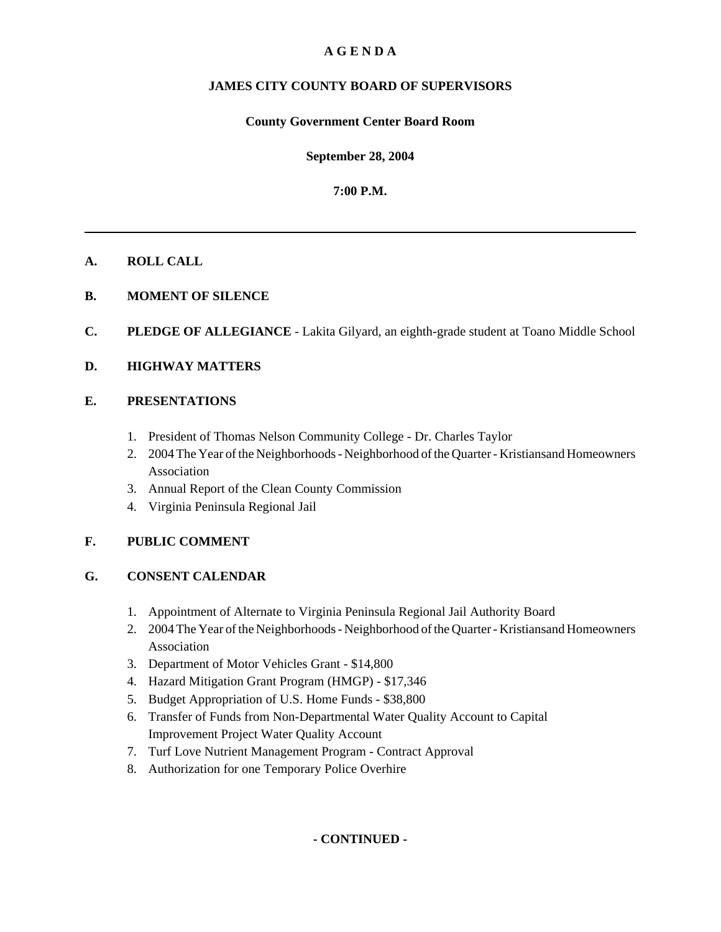# **A G E N D A**

# **JAMES CITY COUNTY BOARD OF SUPERVISORS**

#### **County Government Center Board Room**

**September 28, 2004**

**7:00 P.M.**

## **A. ROLL CALL**

- **B. MOMENT OF SILENCE**
- **C. PLEDGE OF ALLEGIANCE** Lakita Gilyard, an eighth-grade student at Toano Middle School

## **D. HIGHWAY MATTERS**

## **E. PRESENTATIONS**

- 1. President of Thomas Nelson Community College Dr. Charles Taylor
- 2. 2004 The Year of the Neighborhoods Neighborhood of the Quarter Kristiansand Homeowners Association
- 3. Annual Report of the Clean County Commission
- 4. Virginia Peninsula Regional Jail

## **F. PUBLIC COMMENT**

## **G. CONSENT CALENDAR**

- 1. Appointment of Alternate to Virginia Peninsula Regional Jail Authority Board
- 2. 2004 The Year of the Neighborhoods Neighborhood of the Quarter Kristiansand Homeowners Association
- 3. Department of Motor Vehicles Grant \$14,800
- 4. Hazard Mitigation Grant Program (HMGP) \$17,346
- 5. Budget Appropriation of U.S. Home Funds \$38,800
- 6. Transfer of Funds from Non-Departmental Water Quality Account to Capital Improvement Project Water Quality Account
- 7. Turf Love Nutrient Management Program Contract Approval
- 8. Authorization for one Temporary Police Overhire

**- CONTINUED -**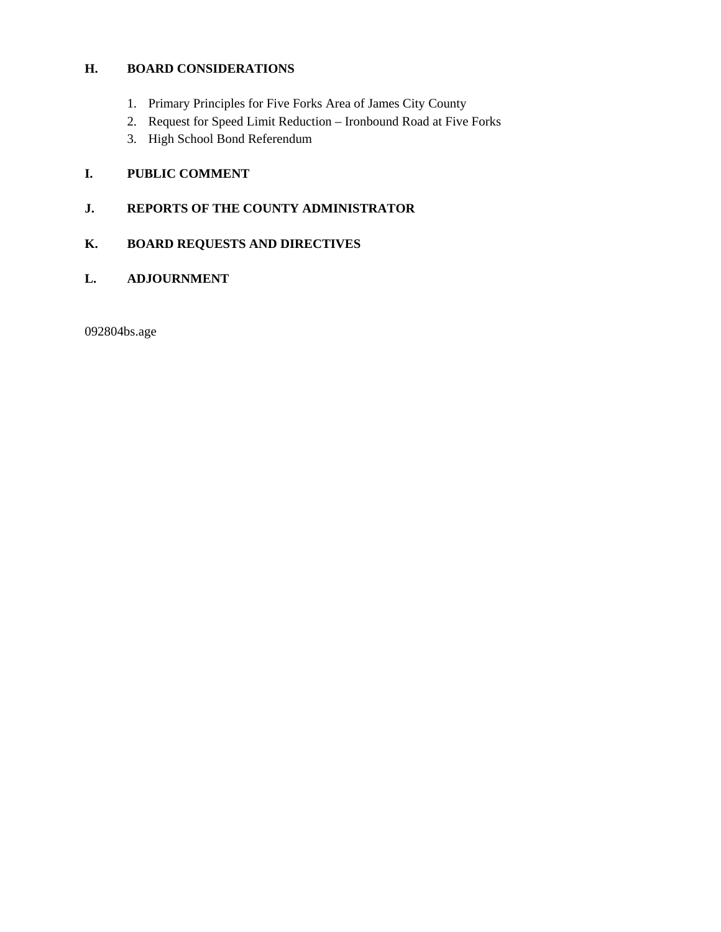# **H. BOARD CONSIDERATIONS**

- 1. Primary Principles for Five Forks Area of James City County
- 2. Request for Speed Limit Reduction Ironbound Road at Five Forks
- 3. High School Bond Referendum

# **I. PUBLIC COMMENT**

# **J. REPORTS OF THE COUNTY ADMINISTRATOR**

# **K. BOARD REQUESTS AND DIRECTIVES**

## **L. ADJOURNMENT**

092804bs.age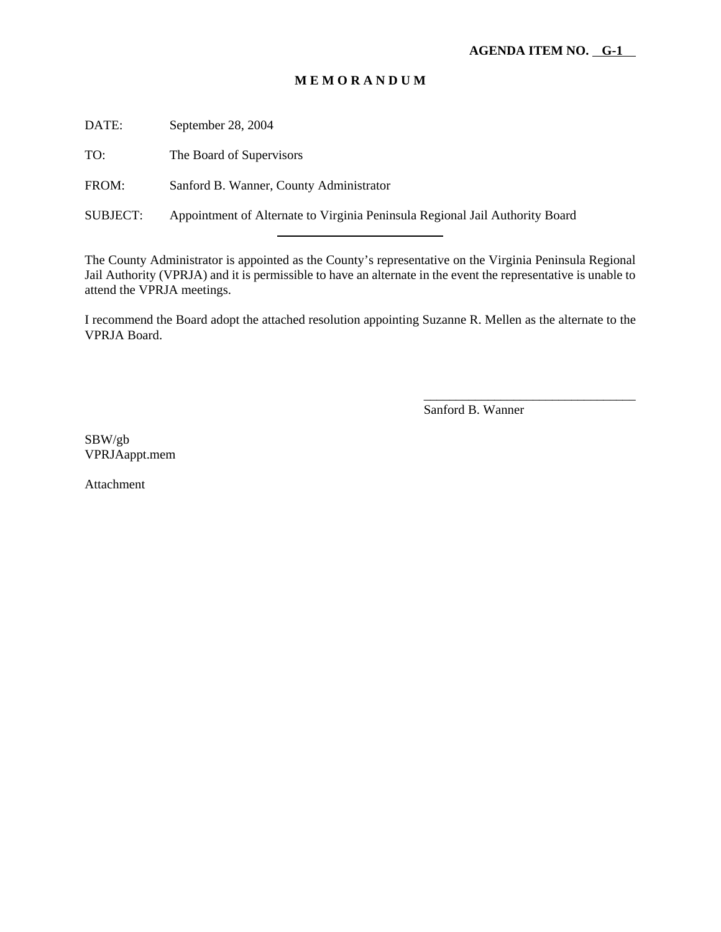DATE: September 28, 2004

TO: The Board of Supervisors

FROM: Sanford B. Wanner, County Administrator

l

SUBJECT: Appointment of Alternate to Virginia Peninsula Regional Jail Authority Board

The County Administrator is appointed as the County's representative on the Virginia Peninsula Regional Jail Authority (VPRJA) and it is permissible to have an alternate in the event the representative is unable to attend the VPRJA meetings.

I recommend the Board adopt the attached resolution appointing Suzanne R. Mellen as the alternate to the VPRJA Board.

Sanford B. Wanner

\_\_\_\_\_\_\_\_\_\_\_\_\_\_\_\_\_\_\_\_\_\_\_\_\_\_\_\_\_\_\_\_\_

SBW/gb VPRJAappt.mem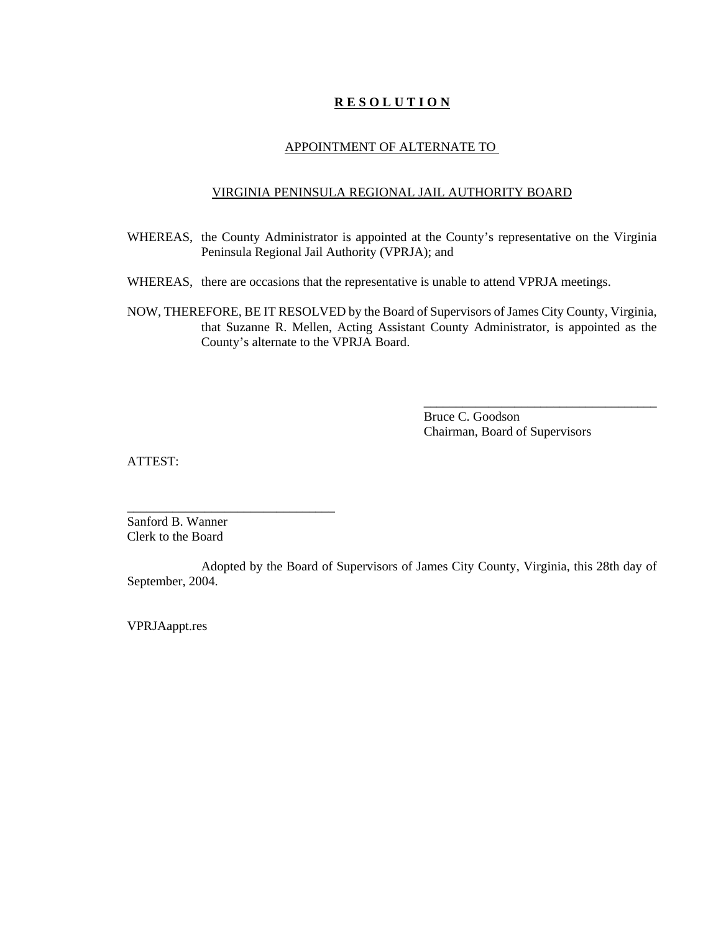#### APPOINTMENT OF ALTERNATE TO

#### VIRGINIA PENINSULA REGIONAL JAIL AUTHORITY BOARD

- WHEREAS, the County Administrator is appointed at the County's representative on the Virginia Peninsula Regional Jail Authority (VPRJA); and
- WHEREAS, there are occasions that the representative is unable to attend VPRJA meetings.
- NOW, THEREFORE, BE IT RESOLVED by the Board of Supervisors of James City County, Virginia, that Suzanne R. Mellen, Acting Assistant County Administrator, is appointed as the County's alternate to the VPRJA Board.

Bruce C. Goodson Chairman, Board of Supervisors

\_\_\_\_\_\_\_\_\_\_\_\_\_\_\_\_\_\_\_\_\_\_\_\_\_\_\_\_\_\_\_\_\_\_\_\_

ATTEST:

Sanford B. Wanner Clerk to the Board

\_\_\_\_\_\_\_\_\_\_\_\_\_\_\_\_\_\_\_\_\_\_\_\_\_\_\_\_\_\_\_\_

Adopted by the Board of Supervisors of James City County, Virginia, this 28th day of September, 2004.

VPRJAappt.res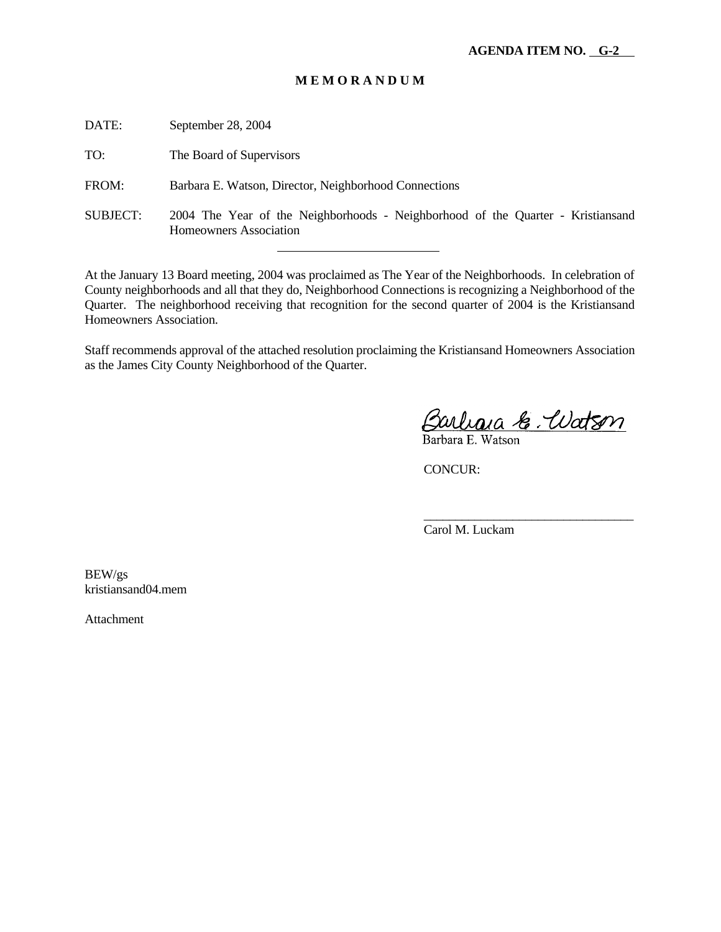DATE: September 28, 2004 TO: The Board of Supervisors FROM: Barbara E. Watson, Director, Neighborhood Connections SUBJECT: 2004 The Year of the Neighborhoods - Neighborhood of the Quarter - Kristiansand Homeowners Association l

At the January 13 Board meeting, 2004 was proclaimed as The Year of the Neighborhoods. In celebration of County neighborhoods and all that they do, Neighborhood Connections is recognizing a Neighborhood of the Quarter. The neighborhood receiving that recognition for the second quarter of 2004 is the Kristiansand Homeowners Association.

Staff recommends approval of the attached resolution proclaiming the Kristiansand Homeowners Association as the James City County Neighborhood of the Quarter.

Barlana & Udtson

\_\_\_\_\_\_\_\_\_\_\_\_\_\_\_\_\_\_\_\_\_\_\_\_\_\_\_\_\_\_\_\_\_

CONCUR:

Carol M. Luckam

BEW/gs kristiansand04.mem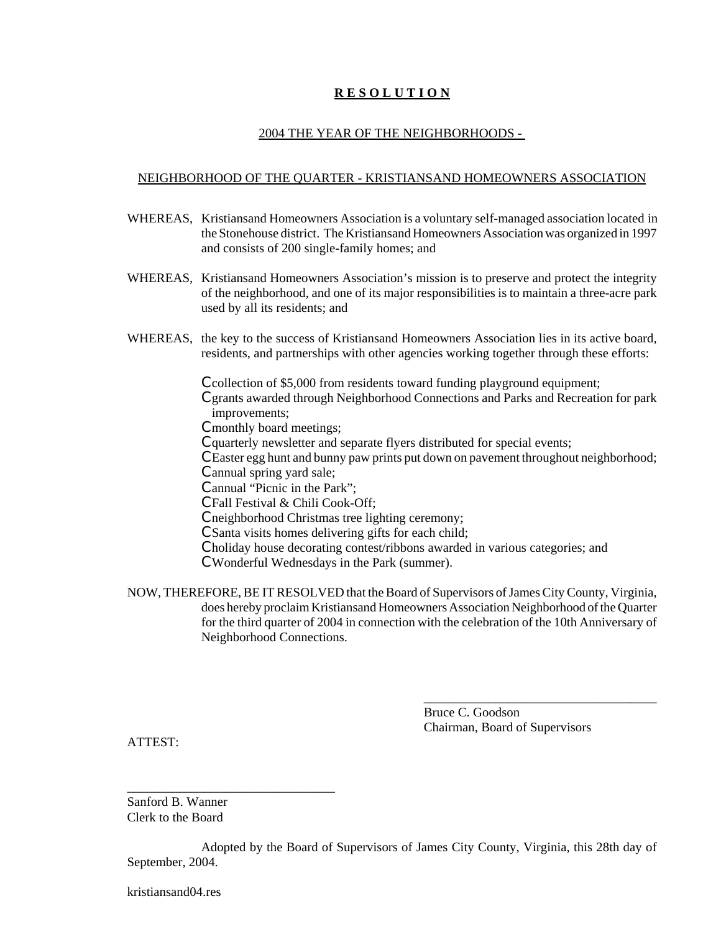#### 2004 THE YEAR OF THE NEIGHBORHOODS -

#### NEIGHBORHOOD OF THE QUARTER - KRISTIANSAND HOMEOWNERS ASSOCIATION

- WHEREAS, Kristiansand Homeowners Association is a voluntary self-managed association located in the Stonehouse district. The Kristiansand Homeowners Association was organized in 1997 and consists of 200 single-family homes; and
- WHEREAS, Kristiansand Homeowners Association's mission is to preserve and protect the integrity of the neighborhood, and one of its major responsibilities is to maintain a three-acre park used by all its residents; and
- WHEREAS, the key to the success of Kristiansand Homeowners Association lies in its active board, residents, and partnerships with other agencies working together through these efforts:
	- C collection of \$5,000 from residents toward funding playground equipment; C grants awarded through Neighborhood Connections and Parks and Recreation for park improvements;
	- C monthly board meetings;
	- C quarterly newsletter and separate flyers distributed for special events;
	- C Easter egg hunt and bunny paw prints put down on pavement throughout neighborhood; C annual spring yard sale;
	- C annual "Picnic in the Park";
	- C Fall Festival & Chili Cook-Off;
	- C neighborhood Christmas tree lighting ceremony;
	- C Santa visits homes delivering gifts for each child;
	- C holiday house decorating contest/ribbons awarded in various categories; and
	- C Wonderful Wednesdays in the Park (summer).
- NOW, THEREFORE, BE IT RESOLVED that the Board of Supervisors of James City County, Virginia, does hereby proclaim Kristiansand Homeowners Association Neighborhood of the Quarter for the third quarter of 2004 in connection with the celebration of the 10th Anniversary of Neighborhood Connections.

Bruce C. Goodson Chairman, Board of Supervisors

\_\_\_\_\_\_\_\_\_\_\_\_\_\_\_\_\_\_\_\_\_\_\_\_\_\_\_\_\_\_\_\_\_\_\_\_

ATTEST:

Sanford B. Wanner Clerk to the Board

\_\_\_\_\_\_\_\_\_\_\_\_\_\_\_\_\_\_\_\_\_\_\_\_\_\_\_\_\_\_\_\_

Adopted by the Board of Supervisors of James City County, Virginia, this 28th day of September, 2004.

kristiansand04.res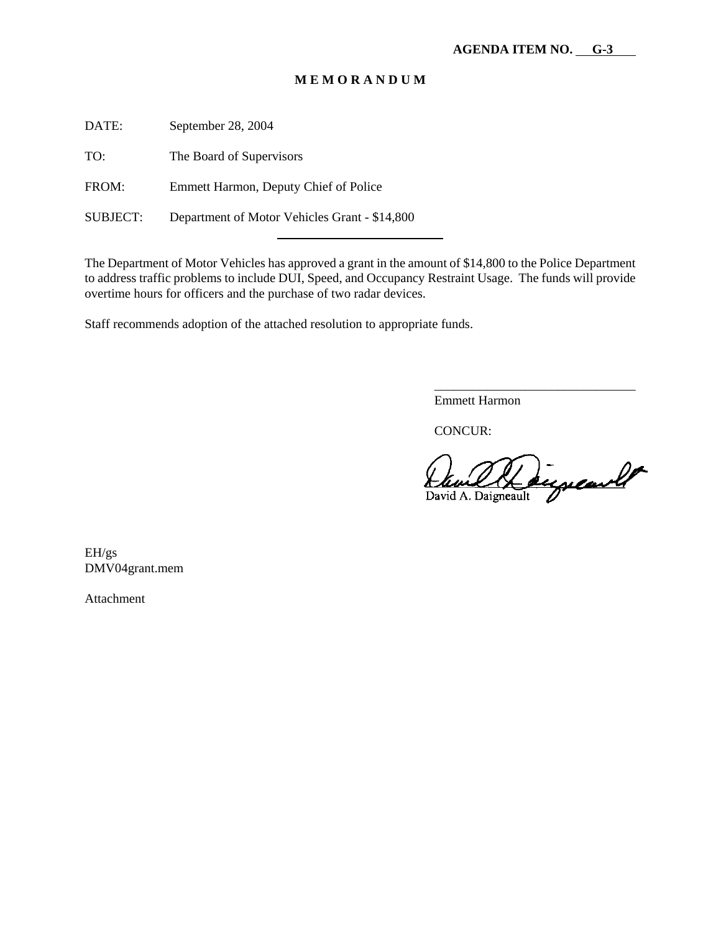DATE: September 28, 2004

TO: The Board of Supervisors

FROM: Emmett Harmon, Deputy Chief of Police

SUBJECT: Department of Motor Vehicles Grant - \$14,800

The Department of Motor Vehicles has approved a grant in the amount of \$14,800 to the Police Department to address traffic problems to include DUI, Speed, and Occupancy Restraint Usage. The funds will provide overtime hours for officers and the purchase of two radar devices.

Staff recommends adoption of the attached resolution to appropriate funds.

Emmett Harmon

CONCUR:

supeared David A. Daigneault

\_\_\_\_\_\_\_\_\_\_\_\_\_\_\_\_\_\_\_\_\_\_\_\_\_\_\_\_\_\_\_

EH/gs DMV04grant.mem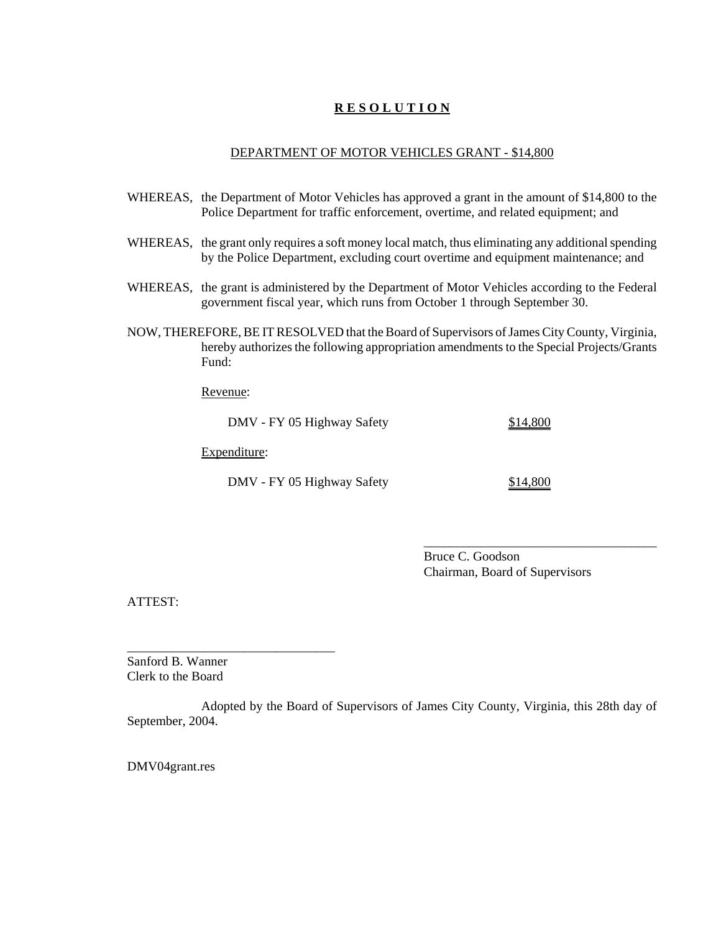#### DEPARTMENT OF MOTOR VEHICLES GRANT - \$14,800

- WHEREAS, the Department of Motor Vehicles has approved a grant in the amount of \$14,800 to the Police Department for traffic enforcement, overtime, and related equipment; and
- WHEREAS, the grant only requires a soft money local match, thus eliminating any additional spending by the Police Department, excluding court overtime and equipment maintenance; and
- WHEREAS, the grant is administered by the Department of Motor Vehicles according to the Federal government fiscal year, which runs from October 1 through September 30.
- NOW, THEREFORE, BE IT RESOLVED that the Board of Supervisors of James City County, Virginia, hereby authorizes the following appropriation amendments to the Special Projects/Grants Fund:

Revenue:

DMV - FY 05 Highway Safety \$14,800

Expenditure:

\_\_\_\_\_\_\_\_\_\_\_\_\_\_\_\_\_\_\_\_\_\_\_\_\_\_\_\_\_\_\_\_

DMV - FY 05 Highway Safety \$14,800

\_\_\_\_\_\_\_\_\_\_\_\_\_\_\_\_\_\_\_\_\_\_\_\_\_\_\_\_\_\_\_\_\_\_\_\_

Bruce C. Goodson Chairman, Board of Supervisors

ATTEST:

Sanford B. Wanner Clerk to the Board

Adopted by the Board of Supervisors of James City County, Virginia, this 28th day of September, 2004.

DMV04grant.res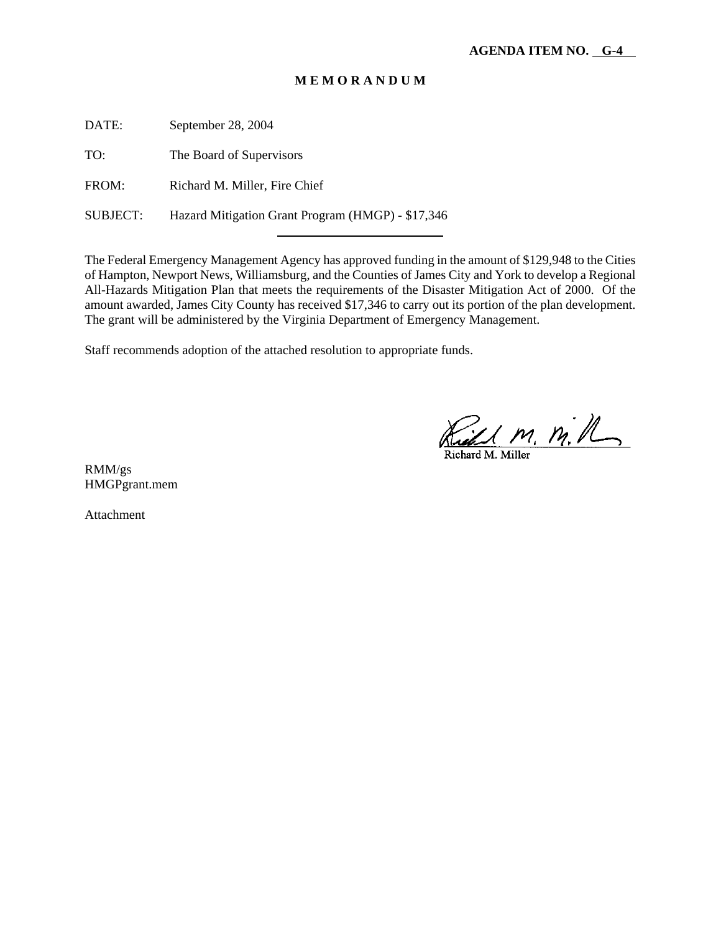DATE: September 28, 2004

TO: The Board of Supervisors

FROM: Richard M. Miller, Fire Chief

SUBJECT: Hazard Mitigation Grant Program (HMGP) - \$17,346

l

The Federal Emergency Management Agency has approved funding in the amount of \$129,948 to the Cities of Hampton, Newport News, Williamsburg, and the Counties of James City and York to develop a Regional All-Hazards Mitigation Plan that meets the requirements of the Disaster Mitigation Act of 2000. Of the amount awarded, James City County has received \$17,346 to carry out its portion of the plan development. The grant will be administered by the Virginia Department of Emergency Management.

Staff recommends adoption of the attached resolution to appropriate funds.

Richard M. M. M.

RMM/gs HMGPgrant.mem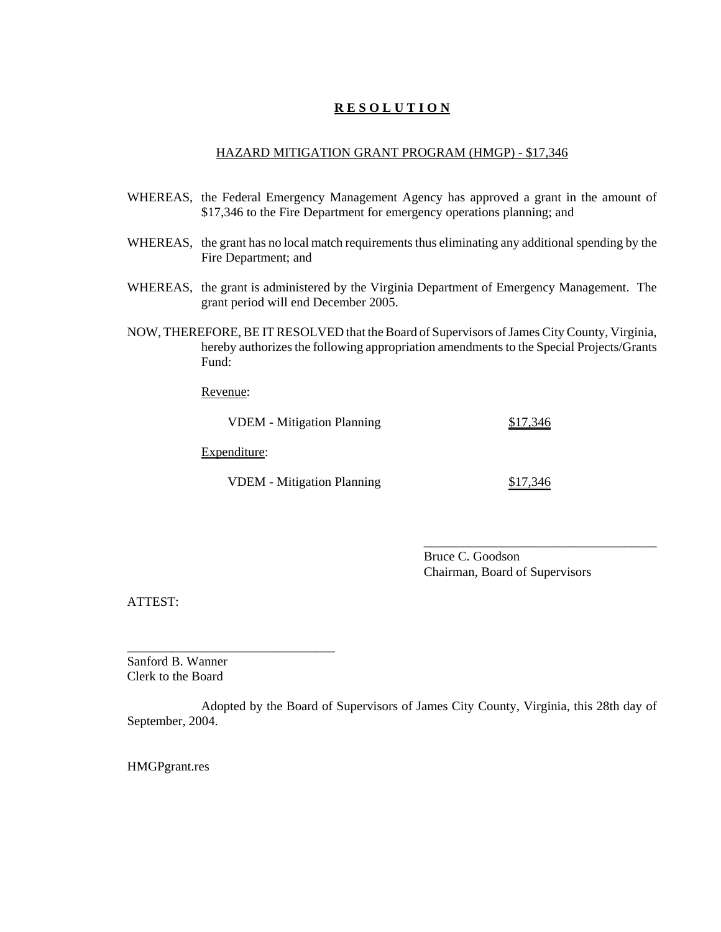#### HAZARD MITIGATION GRANT PROGRAM (HMGP) - \$17,346

- WHEREAS, the Federal Emergency Management Agency has approved a grant in the amount of \$17,346 to the Fire Department for emergency operations planning; and
- WHEREAS, the grant has no local match requirements thus eliminating any additional spending by the Fire Department; and
- WHEREAS, the grant is administered by the Virginia Department of Emergency Management. The grant period will end December 2005.
- NOW, THEREFORE, BE IT RESOLVED that the Board of Supervisors of James City County, Virginia, hereby authorizes the following appropriation amendments to the Special Projects/Grants Fund:

Revenue:

| <b>VDEM</b> - Mitigation Planning | \$17,346 |
|-----------------------------------|----------|
| Expenditure:                      |          |
| <b>VDEM</b> - Mitigation Planning | \$17,346 |

Bruce C. Goodson Chairman, Board of Supervisors

\_\_\_\_\_\_\_\_\_\_\_\_\_\_\_\_\_\_\_\_\_\_\_\_\_\_\_\_\_\_\_\_\_\_\_\_

ATTEST:

Sanford B. Wanner Clerk to the Board

\_\_\_\_\_\_\_\_\_\_\_\_\_\_\_\_\_\_\_\_\_\_\_\_\_\_\_\_\_\_\_\_

Adopted by the Board of Supervisors of James City County, Virginia, this 28th day of September, 2004.

HMGPgrant.res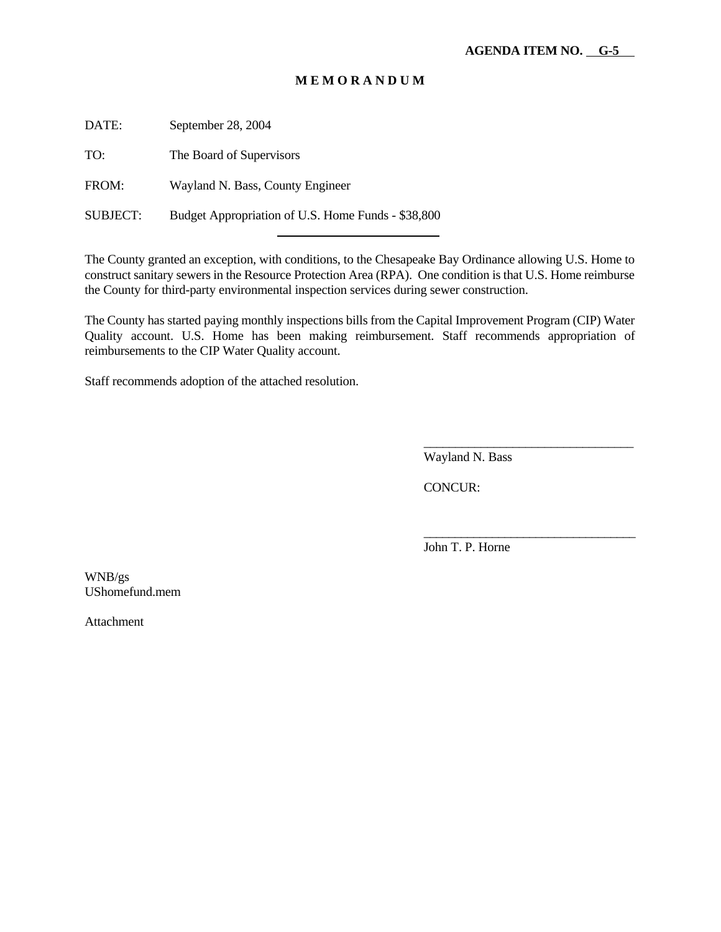DATE: September 28, 2004

TO: The Board of Supervisors

FROM: Wayland N. Bass, County Engineer

SUBJECT: Budget Appropriation of U.S. Home Funds - \$38,800

l

The County granted an exception, with conditions, to the Chesapeake Bay Ordinance allowing U.S. Home to construct sanitary sewers in the Resource Protection Area (RPA). One condition is that U.S. Home reimburse the County for third-party environmental inspection services during sewer construction.

The County has started paying monthly inspections bills from the Capital Improvement Program (CIP) Water Quality account. U.S. Home has been making reimbursement. Staff recommends appropriation of reimbursements to the CIP Water Quality account.

Staff recommends adoption of the attached resolution.

Wayland N. Bass

\_\_\_\_\_\_\_\_\_\_\_\_\_\_\_\_\_\_\_\_\_\_\_\_\_\_\_\_\_\_\_\_\_

\_\_\_\_\_\_\_\_\_\_\_\_\_\_\_\_\_\_\_\_\_\_\_\_\_\_\_\_\_\_\_\_\_\_

CONCUR:

John T. P. Horne

WNB/gs UShomefund.mem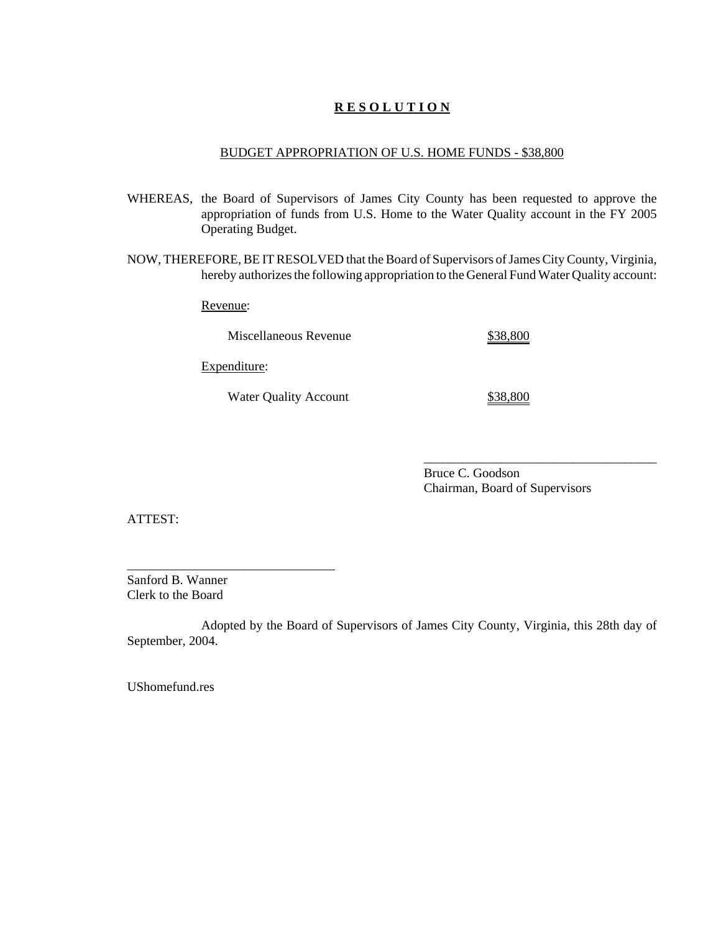#### BUDGET APPROPRIATION OF U.S. HOME FUNDS - \$38,800

- WHEREAS, the Board of Supervisors of James City County has been requested to approve the appropriation of funds from U.S. Home to the Water Quality account in the FY 2005 Operating Budget.
- NOW, THEREFORE, BE IT RESOLVED that the Board of Supervisors of James City County, Virginia, hereby authorizes the following appropriation to the General Fund Water Quality account:

Revenue:

Miscellaneous Revenue  $$38,800$ 

Expenditure:

Water Quality Account \$38,800

Bruce C. Goodson Chairman, Board of Supervisors

\_\_\_\_\_\_\_\_\_\_\_\_\_\_\_\_\_\_\_\_\_\_\_\_\_\_\_\_\_\_\_\_\_\_\_\_

ATTEST:

\_\_\_\_\_\_\_\_\_\_\_\_\_\_\_\_\_\_\_\_\_\_\_\_\_\_\_\_\_\_\_\_ Sanford B. Wanner Clerk to the Board

Adopted by the Board of Supervisors of James City County, Virginia, this 28th day of September, 2004.

UShomefund.res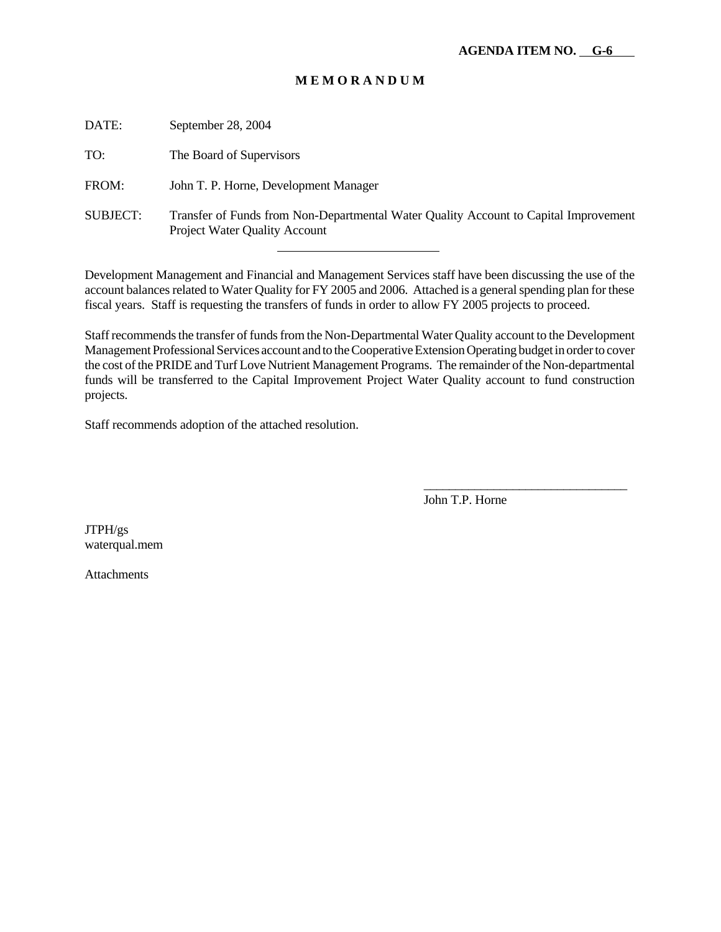| DATE:           | September 28, 2004                                                                                                           |
|-----------------|------------------------------------------------------------------------------------------------------------------------------|
| TO:             | The Board of Supervisors                                                                                                     |
| FROM:           | John T. P. Horne, Development Manager                                                                                        |
| <b>SUBJECT:</b> | Transfer of Funds from Non-Departmental Water Quality Account to Capital Improvement<br><b>Project Water Quality Account</b> |
|                 |                                                                                                                              |

Development Management and Financial and Management Services staff have been discussing the use of the account balances related to Water Quality for FY 2005 and 2006. Attached is a general spending plan for these fiscal years. Staff is requesting the transfers of funds in order to allow FY 2005 projects to proceed.

Staff recommends the transfer of funds from the Non-Departmental Water Quality account to the Development Management Professional Services account and to the Cooperative Extension Operating budget in order to cover the cost of the PRIDE and Turf Love Nutrient Management Programs. The remainder of the Non-departmental funds will be transferred to the Capital Improvement Project Water Quality account to fund construction projects.

Staff recommends adoption of the attached resolution.

John T.P. Horne

\_\_\_\_\_\_\_\_\_\_\_\_\_\_\_\_\_\_\_\_\_\_\_\_\_\_\_\_\_\_\_\_

JTPH/gs waterqual.mem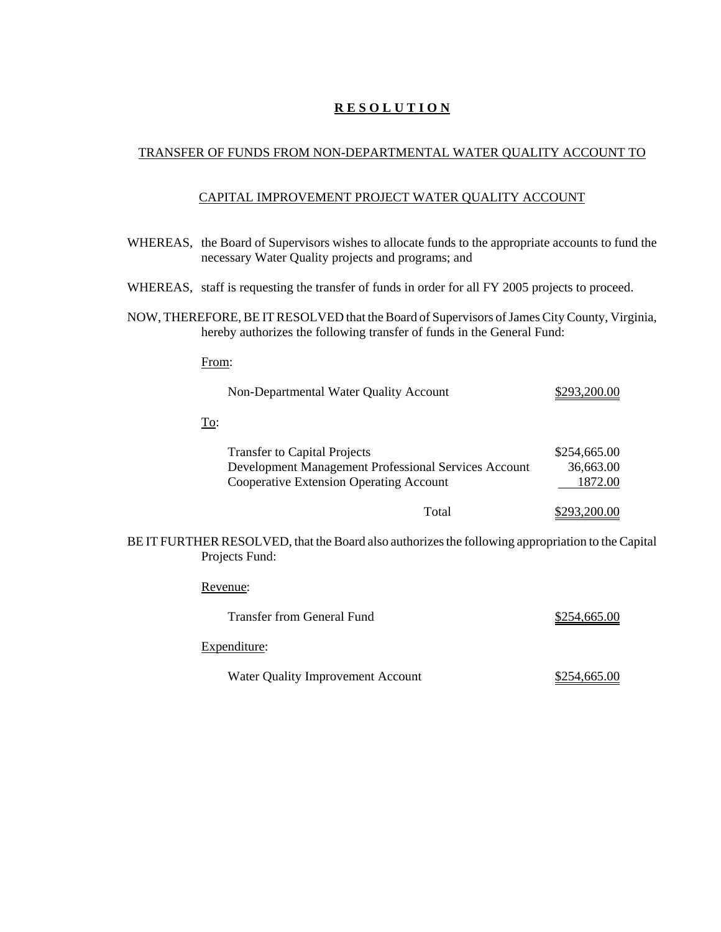## TRANSFER OF FUNDS FROM NON-DEPARTMENTAL WATER QUALITY ACCOUNT TO

## CAPITAL IMPROVEMENT PROJECT WATER QUALITY ACCOUNT

|                                                                                                                                                                        | WHEREAS, the Board of Supervisors wishes to allocate funds to the appropriate accounts to fund the<br>necessary Water Quality projects and programs; and |                                      |  |
|------------------------------------------------------------------------------------------------------------------------------------------------------------------------|----------------------------------------------------------------------------------------------------------------------------------------------------------|--------------------------------------|--|
|                                                                                                                                                                        | WHEREAS, staff is requesting the transfer of funds in order for all FY 2005 projects to proceed.                                                         |                                      |  |
| NOW, THEREFORE, BE IT RESOLVED that the Board of Supervisors of James City County, Virginia,<br>hereby authorizes the following transfer of funds in the General Fund: |                                                                                                                                                          |                                      |  |
|                                                                                                                                                                        | From:                                                                                                                                                    |                                      |  |
|                                                                                                                                                                        | Non-Departmental Water Quality Account                                                                                                                   | \$293,200.00                         |  |
|                                                                                                                                                                        | To:                                                                                                                                                      |                                      |  |
|                                                                                                                                                                        | <b>Transfer to Capital Projects</b><br>Development Management Professional Services Account<br><b>Cooperative Extension Operating Account</b>            | \$254,665.00<br>36,663.00<br>1872.00 |  |
|                                                                                                                                                                        | Total                                                                                                                                                    | \$293,200.00                         |  |
| BE IT FURTHER RESOLVED, that the Board also authorizes the following appropriation to the Capital<br>Projects Fund:                                                    |                                                                                                                                                          |                                      |  |
|                                                                                                                                                                        | Revenue:                                                                                                                                                 |                                      |  |
|                                                                                                                                                                        | <b>Transfer from General Fund</b>                                                                                                                        | \$254,665.00                         |  |
|                                                                                                                                                                        | Expenditure:                                                                                                                                             |                                      |  |
|                                                                                                                                                                        | Water Quality Improvement Account                                                                                                                        | \$254,665.00                         |  |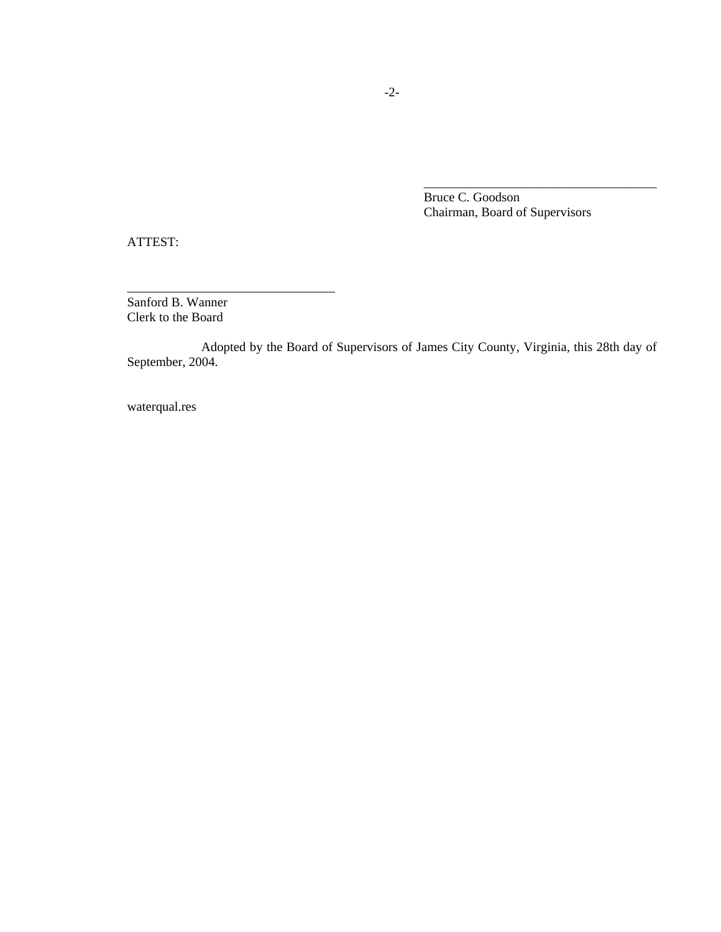Bruce C. Goodson Chairman, Board of Supervisors

\_\_\_\_\_\_\_\_\_\_\_\_\_\_\_\_\_\_\_\_\_\_\_\_\_\_\_\_\_\_\_\_\_\_\_\_

ATTEST:

Sanford B. Wanner Clerk to the Board

\_\_\_\_\_\_\_\_\_\_\_\_\_\_\_\_\_\_\_\_\_\_\_\_\_\_\_\_\_\_\_\_

Adopted by the Board of Supervisors of James City County, Virginia, this 28th day of September, 2004.

waterqual.res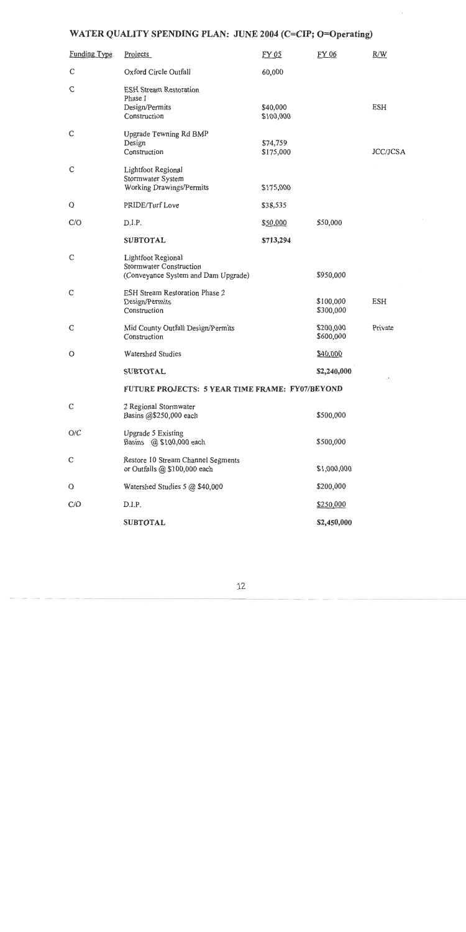# WATER QUALITY SPENDING PLAN: JUNE 2004 (C=CIP; O=Operating)

| <b>Funding Type</b> | <b>Projects</b>                                                                             | FY 05                 | FY 06                  | R/W             |
|---------------------|---------------------------------------------------------------------------------------------|-----------------------|------------------------|-----------------|
| C                   | Oxford Circle Outfall                                                                       | 60,000                |                        |                 |
| C                   | <b>ESH Stream Restoration</b><br>Phase I<br>Design/Permits<br>Construction                  | \$40,000<br>\$100,000 |                        | <b>ESH</b>      |
| $\mathsf{C}$        | Upgrade Tewning Rd BMP<br>Design<br>Construction                                            | \$74,759<br>\$175,000 |                        | <b>JCC/JCSA</b> |
| $\mathsf C$         | Lightfoot Regional<br>Stormwater System<br>Working Drawings/Permits                         | \$175,000             |                        |                 |
| $\circ$             | PRIDE/Turf Love                                                                             | \$38,535              |                        |                 |
| C/O                 | D.I.P.                                                                                      | \$50,000              | \$50,000               |                 |
|                     | <b>SUBTOTAL</b>                                                                             | \$713,294             |                        |                 |
| C                   | Lightfoot Regional<br><b>Stormwater Construction</b><br>(Conveyance System and Dam Upgrade) |                       | \$950,000              |                 |
| $\mathsf{C}$        | <b>ESH Stream Restoration Phase 2</b><br>Design/Permits<br>Construction                     |                       | \$100,000<br>\$300,000 | <b>ESH</b>      |
| C                   | Mid County Outfall Design/Permits<br>Construction                                           |                       | \$200,000<br>\$600,000 | Private         |
| $\circ$             | Watershed Studies                                                                           |                       | \$40,000               |                 |
|                     | <b>SUBTOTAL</b>                                                                             |                       | \$2,240,000            |                 |
|                     | FUTURE PROJECTS: 5 YEAR TIME FRAME: FY07/BEYOND                                             |                       |                        |                 |
| C                   | 2 Regional Stormwater<br>Basins @\$250,000 each                                             |                       | \$500,000              |                 |
| O/C                 | Upgrade 5 Existing<br>Basins @ \$100,000 each                                               |                       | \$500,000              |                 |
| C                   | Restore 10 Stream Channel Segments<br>or Outfalls @ \$100,000 each                          |                       | \$1,000,000            |                 |
| O                   | Watershed Studies 5 @ \$40,000                                                              |                       | \$200,000              |                 |
| C/O                 | D.I.P.                                                                                      |                       | \$250,000              |                 |
|                     | <b>SUBTOTAL</b>                                                                             |                       | \$2,450,000            |                 |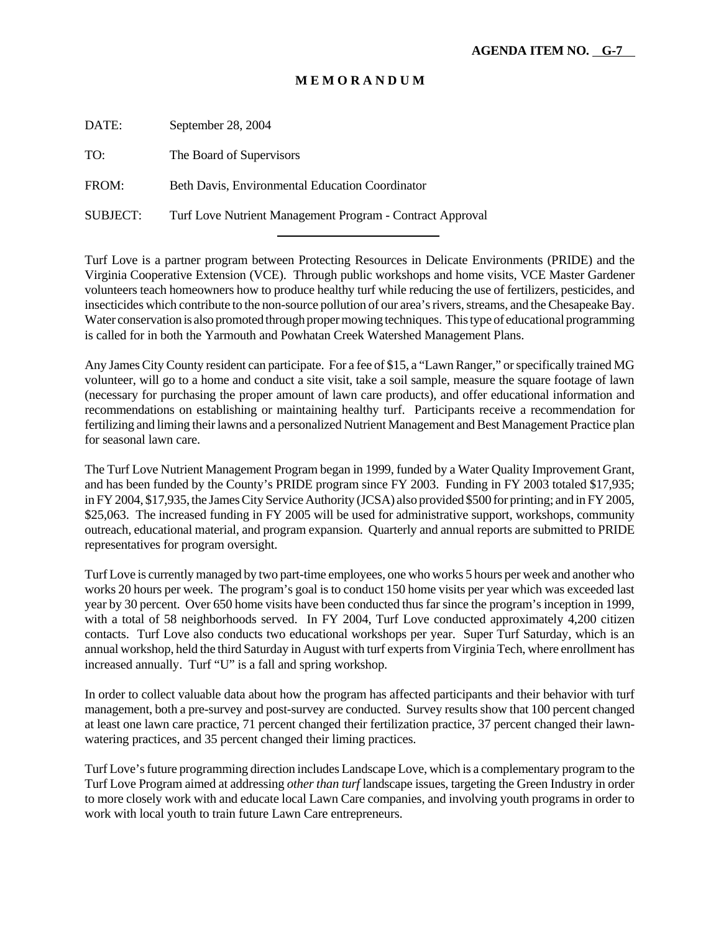DATE: September 28, 2004 TO: The Board of Supervisors FROM: Beth Davis, Environmental Education Coordinator

SUBJECT: Turf Love Nutrient Management Program - Contract Approval l

Turf Love is a partner program between Protecting Resources in Delicate Environments (PRIDE) and the Virginia Cooperative Extension (VCE). Through public workshops and home visits, VCE Master Gardener volunteers teach homeowners how to produce healthy turf while reducing the use of fertilizers, pesticides, and insecticides which contribute to the non-source pollution of our area's rivers, streams, and the Chesapeake Bay. Water conservation is also promoted through proper mowing techniques. This type of educational programming is called for in both the Yarmouth and Powhatan Creek Watershed Management Plans.

Any James City County resident can participate. For a fee of \$15, a "Lawn Ranger," or specifically trained MG volunteer, will go to a home and conduct a site visit, take a soil sample, measure the square footage of lawn (necessary for purchasing the proper amount of lawn care products), and offer educational information and recommendations on establishing or maintaining healthy turf. Participants receive a recommendation for fertilizing and liming their lawns and a personalized Nutrient Management and Best Management Practice plan for seasonal lawn care.

The Turf Love Nutrient Management Program began in 1999, funded by a Water Quality Improvement Grant, and has been funded by the County's PRIDE program since FY 2003. Funding in FY 2003 totaled \$17,935; in FY 2004, \$17,935, the James City Service Authority (JCSA) also provided \$500 for printing; and in FY 2005, \$25,063. The increased funding in FY 2005 will be used for administrative support, workshops, community outreach, educational material, and program expansion. Quarterly and annual reports are submitted to PRIDE representatives for program oversight.

Turf Love is currently managed by two part-time employees, one who works 5 hours per week and another who works 20 hours per week. The program's goal is to conduct 150 home visits per year which was exceeded last year by 30 percent. Over 650 home visits have been conducted thus far since the program's inception in 1999, with a total of 58 neighborhoods served. In FY 2004, Turf Love conducted approximately 4,200 citizen contacts. Turf Love also conducts two educational workshops per year. Super Turf Saturday, which is an annual workshop, held the third Saturday in August with turf experts from Virginia Tech, where enrollment has increased annually. Turf "U" is a fall and spring workshop.

In order to collect valuable data about how the program has affected participants and their behavior with turf management, both a pre-survey and post-survey are conducted. Survey results show that 100 percent changed at least one lawn care practice, 71 percent changed their fertilization practice, 37 percent changed their lawnwatering practices, and 35 percent changed their liming practices.

Turf Love's future programming direction includes Landscape Love, which is a complementary program to the Turf Love Program aimed at addressing *other than turf* landscape issues, targeting the Green Industry in order to more closely work with and educate local Lawn Care companies, and involving youth programs in order to work with local youth to train future Lawn Care entrepreneurs.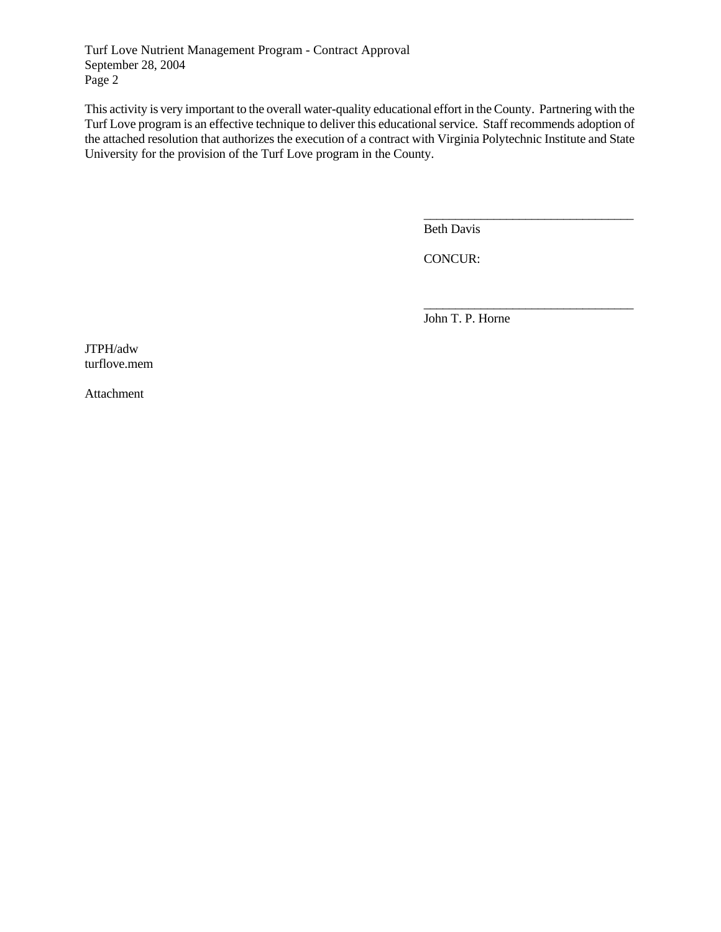Turf Love Nutrient Management Program - Contract Approval September 28, 2004 Page 2

This activity is very important to the overall water-quality educational effort in the County. Partnering with the Turf Love program is an effective technique to deliver this educational service. Staff recommends adoption of the attached resolution that authorizes the execution of a contract with Virginia Polytechnic Institute and State University for the provision of the Turf Love program in the County.

Beth Davis

\_\_\_\_\_\_\_\_\_\_\_\_\_\_\_\_\_\_\_\_\_\_\_\_\_\_\_\_\_\_\_\_\_

\_\_\_\_\_\_\_\_\_\_\_\_\_\_\_\_\_\_\_\_\_\_\_\_\_\_\_\_\_\_\_\_\_

CONCUR:

John T. P. Horne

JTPH/adw turflove.mem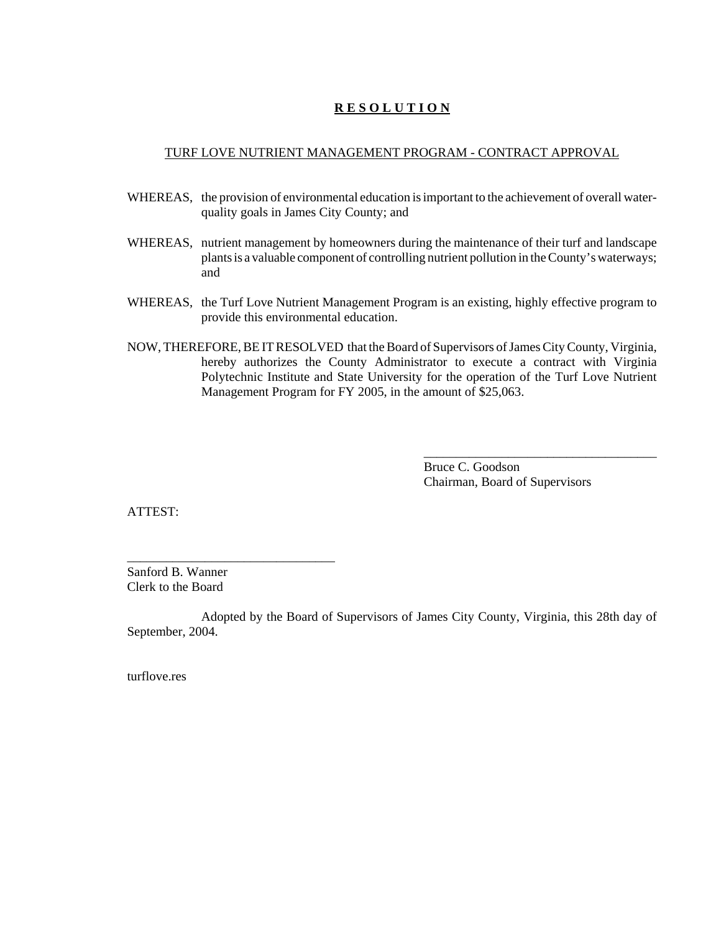#### TURF LOVE NUTRIENT MANAGEMENT PROGRAM - CONTRACT APPROVAL

- WHEREAS, the provision of environmental education is important to the achievement of overall waterquality goals in James City County; and
- WHEREAS, nutrient management by homeowners during the maintenance of their turf and landscape plants is a valuable component of controlling nutrient pollution in the County's waterways; and
- WHEREAS, the Turf Love Nutrient Management Program is an existing, highly effective program to provide this environmental education.
- NOW, THEREFORE, BE IT RESOLVED that the Board of Supervisors of James City County, Virginia, hereby authorizes the County Administrator to execute a contract with Virginia Polytechnic Institute and State University for the operation of the Turf Love Nutrient Management Program for FY 2005, in the amount of \$25,063.

Bruce C. Goodson Chairman, Board of Supervisors

\_\_\_\_\_\_\_\_\_\_\_\_\_\_\_\_\_\_\_\_\_\_\_\_\_\_\_\_\_\_\_\_\_\_\_\_

ATTEST:

Sanford B. Wanner Clerk to the Board

\_\_\_\_\_\_\_\_\_\_\_\_\_\_\_\_\_\_\_\_\_\_\_\_\_\_\_\_\_\_\_\_

Adopted by the Board of Supervisors of James City County, Virginia, this 28th day of September, 2004.

turflove.res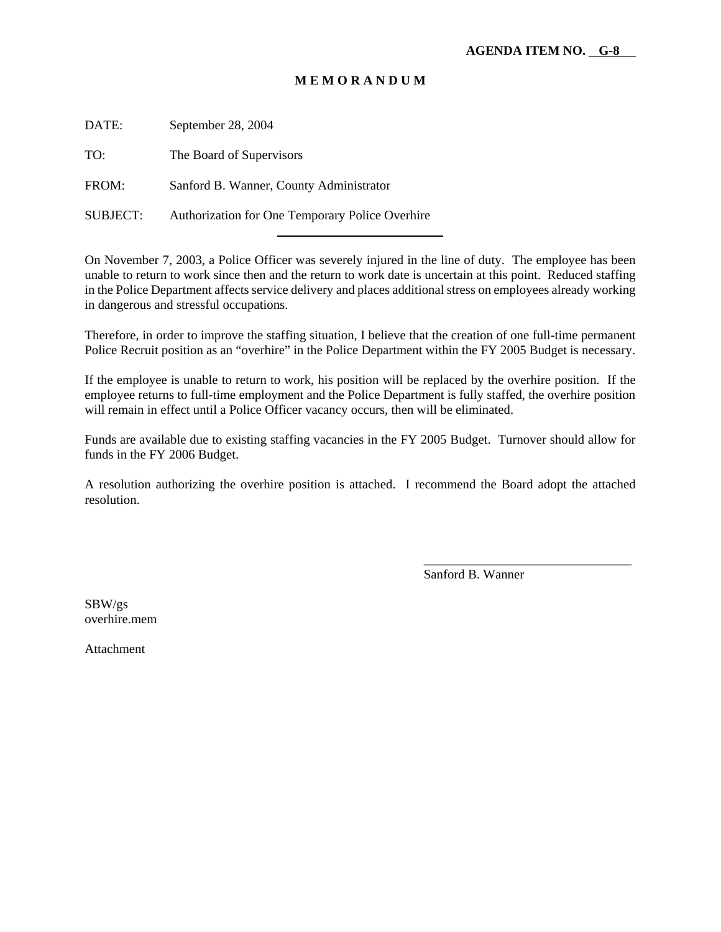DATE: September 28, 2004

TO: The Board of Supervisors

FROM: Sanford B. Wanner, County Administrator

SUBJECT: Authorization for One Temporary Police Overhire

l

On November 7, 2003, a Police Officer was severely injured in the line of duty. The employee has been unable to return to work since then and the return to work date is uncertain at this point. Reduced staffing in the Police Department affects service delivery and places additional stress on employees already working in dangerous and stressful occupations.

Therefore, in order to improve the staffing situation, I believe that the creation of one full-time permanent Police Recruit position as an "overhire" in the Police Department within the FY 2005 Budget is necessary.

If the employee is unable to return to work, his position will be replaced by the overhire position. If the employee returns to full-time employment and the Police Department is fully staffed, the overhire position will remain in effect until a Police Officer vacancy occurs, then will be eliminated.

Funds are available due to existing staffing vacancies in the FY 2005 Budget. Turnover should allow for funds in the FY 2006 Budget.

A resolution authorizing the overhire position is attached. I recommend the Board adopt the attached resolution.

Sanford B. Wanner

\_\_\_\_\_\_\_\_\_\_\_\_\_\_\_\_\_\_\_\_\_\_\_\_\_\_\_\_\_\_\_\_

SBW/gs overhire.mem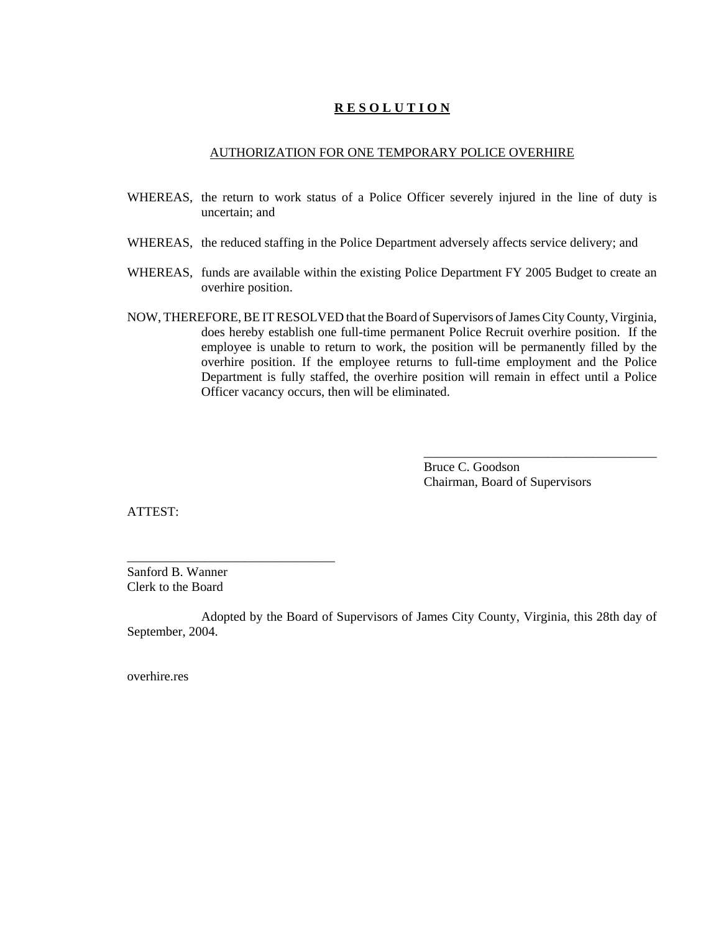#### AUTHORIZATION FOR ONE TEMPORARY POLICE OVERHIRE

- WHEREAS, the return to work status of a Police Officer severely injured in the line of duty is uncertain; and
- WHEREAS, the reduced staffing in the Police Department adversely affects service delivery; and
- WHEREAS, funds are available within the existing Police Department FY 2005 Budget to create an overhire position.
- NOW, THEREFORE, BE IT RESOLVED that the Board of Supervisors of James City County, Virginia, does hereby establish one full-time permanent Police Recruit overhire position. If the employee is unable to return to work, the position will be permanently filled by the overhire position. If the employee returns to full-time employment and the Police Department is fully staffed, the overhire position will remain in effect until a Police Officer vacancy occurs, then will be eliminated.

Bruce C. Goodson Chairman, Board of Supervisors

\_\_\_\_\_\_\_\_\_\_\_\_\_\_\_\_\_\_\_\_\_\_\_\_\_\_\_\_\_\_\_\_\_\_\_\_

ATTEST:

Sanford B. Wanner Clerk to the Board

\_\_\_\_\_\_\_\_\_\_\_\_\_\_\_\_\_\_\_\_\_\_\_\_\_\_\_\_\_\_\_\_

Adopted by the Board of Supervisors of James City County, Virginia, this 28th day of September, 2004.

overhire.res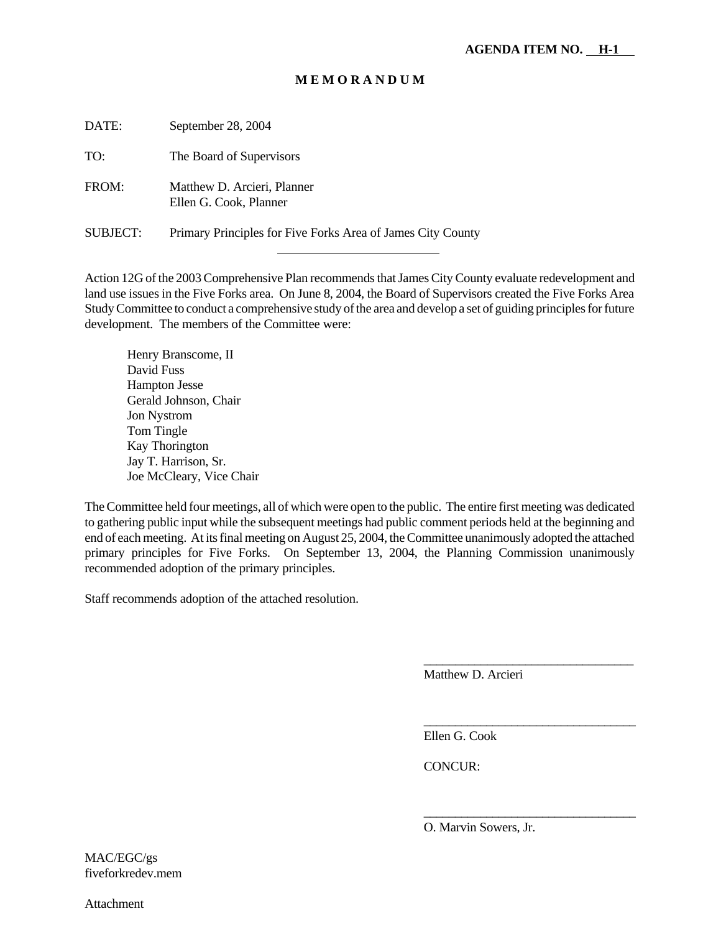DATE: September 28, 2004 TO: The Board of Supervisors FROM: Matthew D. Arcieri, Planner Ellen G. Cook, Planner SUBJECT: Primary Principles for Five Forks Area of James City County

l

Action 12G of the 2003 Comprehensive Plan recommends that James City County evaluate redevelopment and land use issues in the Five Forks area. On June 8, 2004, the Board of Supervisors created the Five Forks Area Study Committee to conduct a comprehensive study of the area and develop a set of guiding principles for future development. The members of the Committee were:

Henry Branscome, II David Fuss Hampton Jesse Gerald Johnson, Chair Jon Nystrom Tom Tingle Kay Thorington Jay T. Harrison, Sr. Joe McCleary, Vice Chair

The Committee held four meetings, all of which were open to the public. The entire first meeting was dedicated to gathering public input while the subsequent meetings had public comment periods held at the beginning and end of each meeting. At its final meeting on August 25, 2004, the Committee unanimously adopted the attached primary principles for Five Forks. On September 13, 2004, the Planning Commission unanimously recommended adoption of the primary principles.

Staff recommends adoption of the attached resolution.

Matthew D. Arcieri

\_\_\_\_\_\_\_\_\_\_\_\_\_\_\_\_\_\_\_\_\_\_\_\_\_\_\_\_\_\_\_\_\_

\_\_\_\_\_\_\_\_\_\_\_\_\_\_\_\_\_\_\_\_\_\_\_\_\_\_\_\_\_\_\_\_\_\_

\_\_\_\_\_\_\_\_\_\_\_\_\_\_\_\_\_\_\_\_\_\_\_\_\_\_\_\_\_\_\_\_\_\_

Ellen G. Cook

CONCUR:

O. Marvin Sowers, Jr.

MAC/EGC/gs fiveforkredev.mem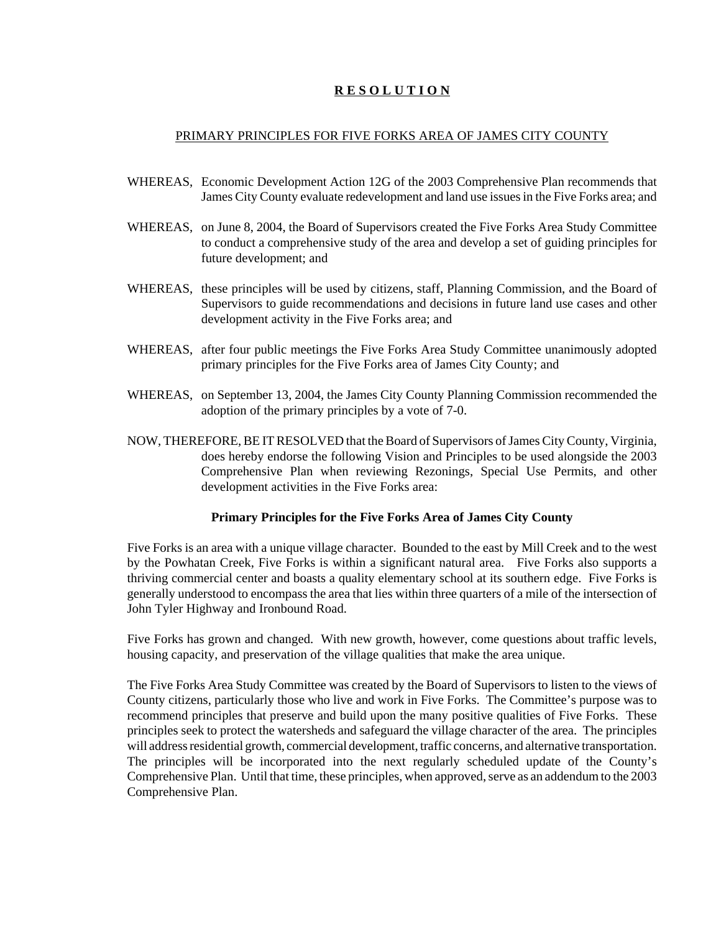#### PRIMARY PRINCIPLES FOR FIVE FORKS AREA OF JAMES CITY COUNTY

- WHEREAS, Economic Development Action 12G of the 2003 Comprehensive Plan recommends that James City County evaluate redevelopment and land use issues in the Five Forks area; and
- WHEREAS, on June 8, 2004, the Board of Supervisors created the Five Forks Area Study Committee to conduct a comprehensive study of the area and develop a set of guiding principles for future development; and
- WHEREAS, these principles will be used by citizens, staff, Planning Commission, and the Board of Supervisors to guide recommendations and decisions in future land use cases and other development activity in the Five Forks area; and
- WHEREAS, after four public meetings the Five Forks Area Study Committee unanimously adopted primary principles for the Five Forks area of James City County; and
- WHEREAS, on September 13, 2004, the James City County Planning Commission recommended the adoption of the primary principles by a vote of 7-0.
- NOW, THEREFORE, BE IT RESOLVED that the Board of Supervisors of James City County, Virginia, does hereby endorse the following Vision and Principles to be used alongside the 2003 Comprehensive Plan when reviewing Rezonings, Special Use Permits, and other development activities in the Five Forks area:

#### **Primary Principles for the Five Forks Area of James City County**

Five Forks is an area with a unique village character. Bounded to the east by Mill Creek and to the west by the Powhatan Creek, Five Forks is within a significant natural area. Five Forks also supports a thriving commercial center and boasts a quality elementary school at its southern edge. Five Forks is generally understood to encompass the area that lies within three quarters of a mile of the intersection of John Tyler Highway and Ironbound Road.

Five Forks has grown and changed. With new growth, however, come questions about traffic levels, housing capacity, and preservation of the village qualities that make the area unique.

The Five Forks Area Study Committee was created by the Board of Supervisors to listen to the views of County citizens, particularly those who live and work in Five Forks. The Committee's purpose was to recommend principles that preserve and build upon the many positive qualities of Five Forks. These principles seek to protect the watersheds and safeguard the village character of the area. The principles will address residential growth, commercial development, traffic concerns, and alternative transportation. The principles will be incorporated into the next regularly scheduled update of the County's Comprehensive Plan. Until that time, these principles, when approved, serve as an addendum to the 2003 Comprehensive Plan.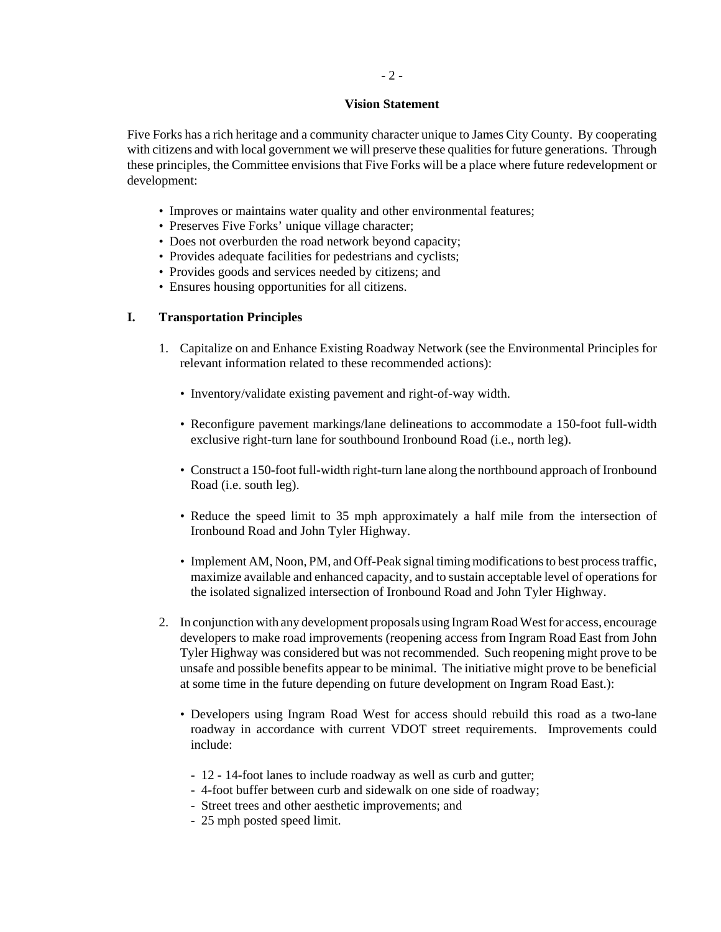#### $-2 -$

#### **Vision Statement**

Five Forks has a rich heritage and a community character unique to James City County. By cooperating with citizens and with local government we will preserve these qualities for future generations. Through these principles, the Committee envisions that Five Forks will be a place where future redevelopment or development:

- Improves or maintains water quality and other environmental features;
- Preserves Five Forks' unique village character;
- Does not overburden the road network beyond capacity;
- Provides adequate facilities for pedestrians and cyclists;
- Provides goods and services needed by citizens; and
- Ensures housing opportunities for all citizens.

## **I. Transportation Principles**

- 1. Capitalize on and Enhance Existing Roadway Network (see the Environmental Principles for relevant information related to these recommended actions):
	- Inventory/validate existing pavement and right-of-way width.
	- Reconfigure pavement markings/lane delineations to accommodate a 150-foot full-width exclusive right-turn lane for southbound Ironbound Road (i.e., north leg).
	- Construct a 150-foot full-width right-turn lane along the northbound approach of Ironbound Road (i.e. south leg).
	- Reduce the speed limit to 35 mph approximately a half mile from the intersection of Ironbound Road and John Tyler Highway.
	- Implement AM, Noon, PM, and Off-Peak signal timing modifications to best process traffic, maximize available and enhanced capacity, and to sustain acceptable level of operations for the isolated signalized intersection of Ironbound Road and John Tyler Highway.
- 2. In conjunction with any development proposals using Ingram Road West for access, encourage developers to make road improvements (reopening access from Ingram Road East from John Tyler Highway was considered but was not recommended. Such reopening might prove to be unsafe and possible benefits appear to be minimal. The initiative might prove to be beneficial at some time in the future depending on future development on Ingram Road East.):
	- Developers using Ingram Road West for access should rebuild this road as a two-lane roadway in accordance with current VDOT street requirements. Improvements could include:
		- 12 14-foot lanes to include roadway as well as curb and gutter;
		- 4-foot buffer between curb and sidewalk on one side of roadway;
		- Street trees and other aesthetic improvements; and
		- 25 mph posted speed limit.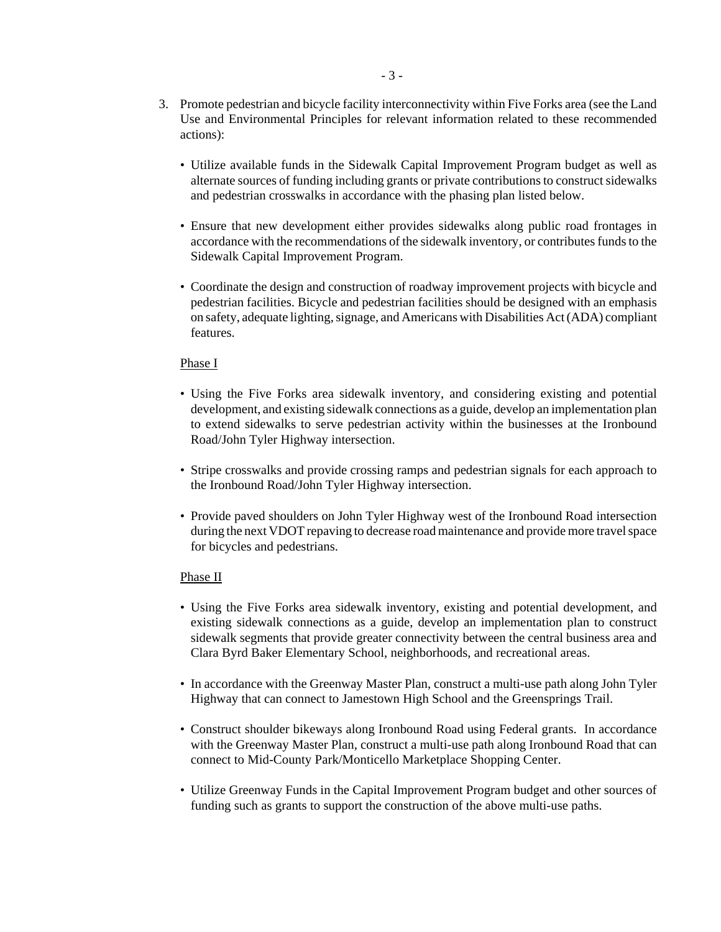- 3. Promote pedestrian and bicycle facility interconnectivity within Five Forks area (see the Land Use and Environmental Principles for relevant information related to these recommended actions):
	- Utilize available funds in the Sidewalk Capital Improvement Program budget as well as alternate sources of funding including grants or private contributions to construct sidewalks and pedestrian crosswalks in accordance with the phasing plan listed below.
	- Ensure that new development either provides sidewalks along public road frontages in accordance with the recommendations of the sidewalk inventory, or contributes funds to the Sidewalk Capital Improvement Program.
	- Coordinate the design and construction of roadway improvement projects with bicycle and pedestrian facilities. Bicycle and pedestrian facilities should be designed with an emphasis on safety, adequate lighting, signage, and Americans with Disabilities Act (ADA) compliant features.

#### Phase I

- Using the Five Forks area sidewalk inventory, and considering existing and potential development, and existing sidewalk connections as a guide, develop an implementation plan to extend sidewalks to serve pedestrian activity within the businesses at the Ironbound Road/John Tyler Highway intersection.
- Stripe crosswalks and provide crossing ramps and pedestrian signals for each approach to the Ironbound Road/John Tyler Highway intersection.
- Provide paved shoulders on John Tyler Highway west of the Ironbound Road intersection during the next VDOT repaving to decrease road maintenance and provide more travel space for bicycles and pedestrians.

#### Phase II

- Using the Five Forks area sidewalk inventory, existing and potential development, and existing sidewalk connections as a guide, develop an implementation plan to construct sidewalk segments that provide greater connectivity between the central business area and Clara Byrd Baker Elementary School, neighborhoods, and recreational areas.
- In accordance with the Greenway Master Plan, construct a multi-use path along John Tyler Highway that can connect to Jamestown High School and the Greensprings Trail.
- Construct shoulder bikeways along Ironbound Road using Federal grants. In accordance with the Greenway Master Plan, construct a multi-use path along Ironbound Road that can connect to Mid-County Park/Monticello Marketplace Shopping Center.
- Utilize Greenway Funds in the Capital Improvement Program budget and other sources of funding such as grants to support the construction of the above multi-use paths.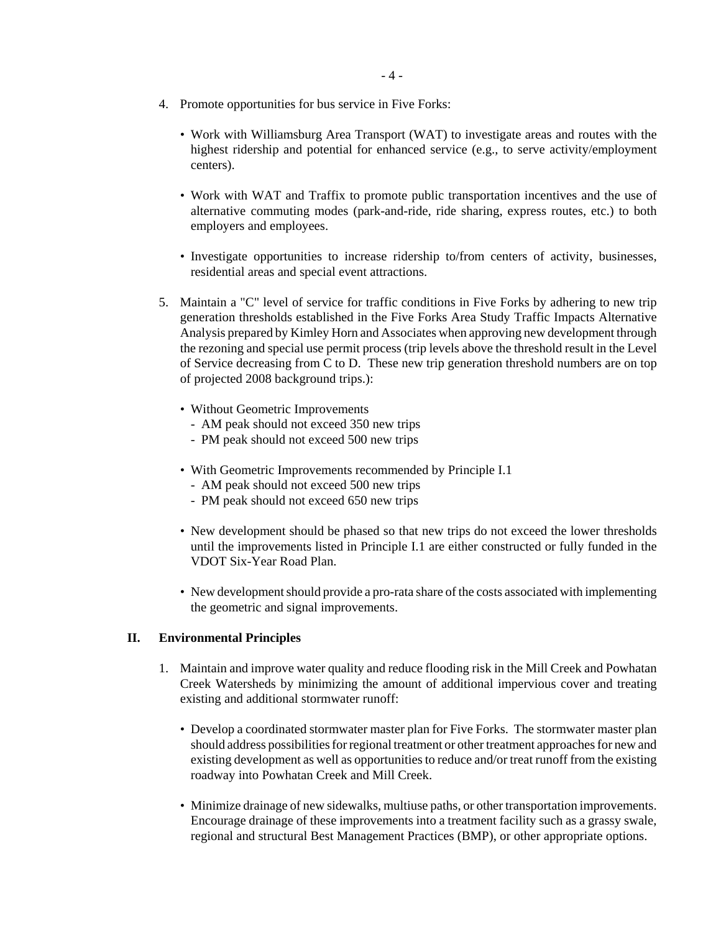- 4. Promote opportunities for bus service in Five Forks:
	- Work with Williamsburg Area Transport (WAT) to investigate areas and routes with the highest ridership and potential for enhanced service (e.g., to serve activity/employment centers).
	- Work with WAT and Traffix to promote public transportation incentives and the use of alternative commuting modes (park-and-ride, ride sharing, express routes, etc.) to both employers and employees.
	- Investigate opportunities to increase ridership to/from centers of activity, businesses, residential areas and special event attractions.
- 5. Maintain a "C" level of service for traffic conditions in Five Forks by adhering to new trip generation thresholds established in the Five Forks Area Study Traffic Impacts Alternative Analysis prepared by Kimley Horn and Associates when approving new development through the rezoning and special use permit process (trip levels above the threshold result in the Level of Service decreasing from C to D. These new trip generation threshold numbers are on top of projected 2008 background trips.):
	- Without Geometric Improvements
		- AM peak should not exceed 350 new trips
		- PM peak should not exceed 500 new trips
	- With Geometric Improvements recommended by Principle I.1
		- AM peak should not exceed 500 new trips
		- PM peak should not exceed 650 new trips
	- New development should be phased so that new trips do not exceed the lower thresholds until the improvements listed in Principle I.1 are either constructed or fully funded in the VDOT Six-Year Road Plan.
	- New development should provide a pro-rata share of the costs associated with implementing the geometric and signal improvements.

#### **II. Environmental Principles**

- 1. Maintain and improve water quality and reduce flooding risk in the Mill Creek and Powhatan Creek Watersheds by minimizing the amount of additional impervious cover and treating existing and additional stormwater runoff:
	- Develop a coordinated stormwater master plan for Five Forks. The stormwater master plan should address possibilities for regional treatment or other treatment approaches for new and existing development as well as opportunities to reduce and/or treat runoff from the existing roadway into Powhatan Creek and Mill Creek.
	- Minimize drainage of new sidewalks, multiuse paths, or other transportation improvements. Encourage drainage of these improvements into a treatment facility such as a grassy swale, regional and structural Best Management Practices (BMP), or other appropriate options.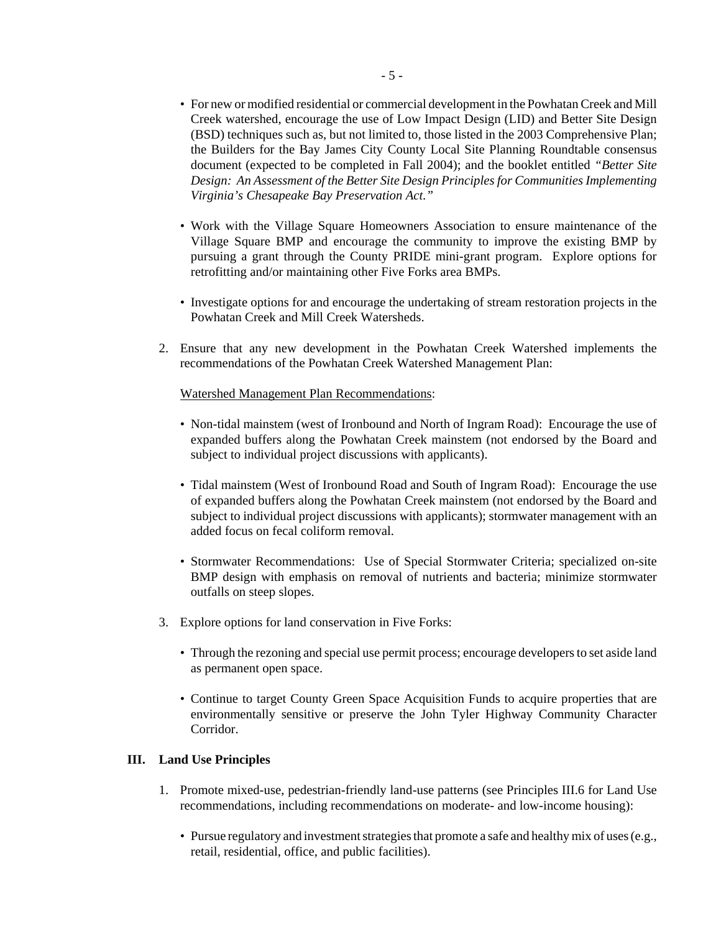- For new or modified residential or commercial development in the Powhatan Creek and Mill Creek watershed, encourage the use of Low Impact Design (LID) and Better Site Design (BSD) techniques such as, but not limited to, those listed in the 2003 Comprehensive Plan; the Builders for the Bay James City County Local Site Planning Roundtable consensus document (expected to be completed in Fall 2004); and the booklet entitled *"Better Site Design: An Assessment of the Better Site Design Principles for Communities Implementing Virginia's Chesapeake Bay Preservation Act."*
- Work with the Village Square Homeowners Association to ensure maintenance of the Village Square BMP and encourage the community to improve the existing BMP by pursuing a grant through the County PRIDE mini-grant program. Explore options for retrofitting and/or maintaining other Five Forks area BMPs.
- Investigate options for and encourage the undertaking of stream restoration projects in the Powhatan Creek and Mill Creek Watersheds.
- 2. Ensure that any new development in the Powhatan Creek Watershed implements the recommendations of the Powhatan Creek Watershed Management Plan:

#### Watershed Management Plan Recommendations:

- Non-tidal mainstem (west of Ironbound and North of Ingram Road): Encourage the use of expanded buffers along the Powhatan Creek mainstem (not endorsed by the Board and subject to individual project discussions with applicants).
- Tidal mainstem (West of Ironbound Road and South of Ingram Road): Encourage the use of expanded buffers along the Powhatan Creek mainstem (not endorsed by the Board and subject to individual project discussions with applicants); stormwater management with an added focus on fecal coliform removal.
- Stormwater Recommendations: Use of Special Stormwater Criteria; specialized on-site BMP design with emphasis on removal of nutrients and bacteria; minimize stormwater outfalls on steep slopes.
- 3. Explore options for land conservation in Five Forks:
	- Through the rezoning and special use permit process; encourage developers to set aside land as permanent open space.
	- Continue to target County Green Space Acquisition Funds to acquire properties that are environmentally sensitive or preserve the John Tyler Highway Community Character Corridor.

#### **III. Land Use Principles**

- 1. Promote mixed-use, pedestrian-friendly land-use patterns (see Principles III.6 for Land Use recommendations, including recommendations on moderate- and low-income housing):
	- Pursue regulatory and investment strategies that promote a safe and healthy mix of uses (e.g., retail, residential, office, and public facilities).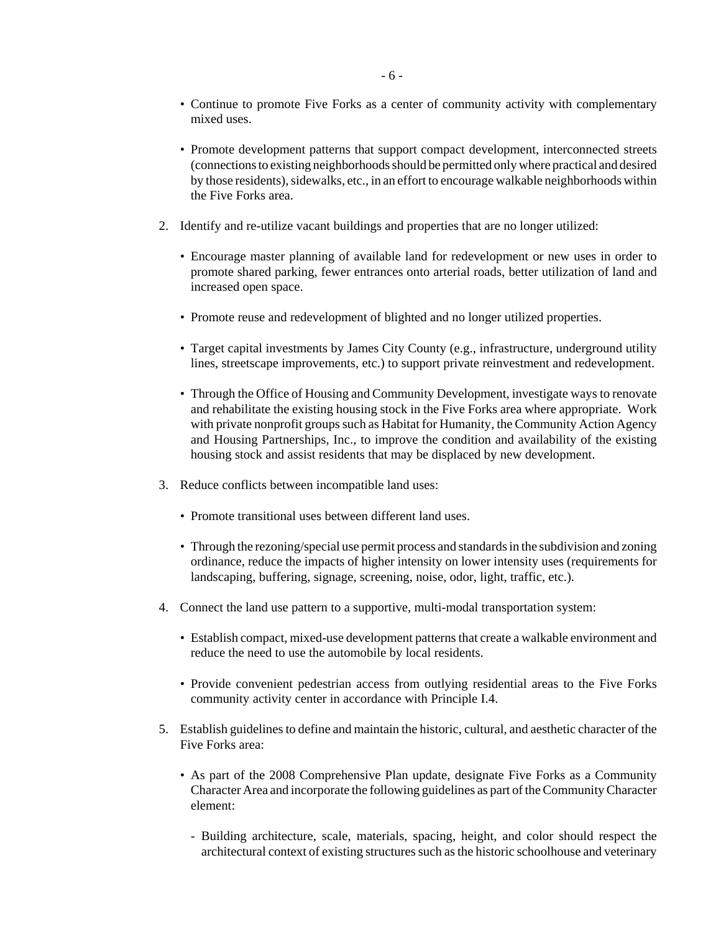- Continue to promote Five Forks as a center of community activity with complementary mixed uses.
- Promote development patterns that support compact development, interconnected streets (connections to existing neighborhoods should be permitted only where practical and desired by those residents), sidewalks, etc., in an effort to encourage walkable neighborhoods within the Five Forks area.
- 2. Identify and re-utilize vacant buildings and properties that are no longer utilized:
	- Encourage master planning of available land for redevelopment or new uses in order to promote shared parking, fewer entrances onto arterial roads, better utilization of land and increased open space.
	- Promote reuse and redevelopment of blighted and no longer utilized properties.
	- Target capital investments by James City County (e.g., infrastructure, underground utility lines, streetscape improvements, etc.) to support private reinvestment and redevelopment.
	- Through the Office of Housing and Community Development, investigate ways to renovate and rehabilitate the existing housing stock in the Five Forks area where appropriate. Work with private nonprofit groups such as Habitat for Humanity, the Community Action Agency and Housing Partnerships, Inc., to improve the condition and availability of the existing housing stock and assist residents that may be displaced by new development.
- 3. Reduce conflicts between incompatible land uses:
	- Promote transitional uses between different land uses.
	- Through the rezoning/special use permit process and standards in the subdivision and zoning ordinance, reduce the impacts of higher intensity on lower intensity uses (requirements for landscaping, buffering, signage, screening, noise, odor, light, traffic, etc.).
- 4. Connect the land use pattern to a supportive, multi-modal transportation system:
	- Establish compact, mixed-use development patterns that create a walkable environment and reduce the need to use the automobile by local residents.
	- Provide convenient pedestrian access from outlying residential areas to the Five Forks community activity center in accordance with Principle I.4.
- 5. Establish guidelines to define and maintain the historic, cultural, and aesthetic character of the Five Forks area:
	- As part of the 2008 Comprehensive Plan update, designate Five Forks as a Community Character Area and incorporate the following guidelines as part of the Community Character element:
		- Building architecture, scale, materials, spacing, height, and color should respect the architectural context of existing structures such as the historic schoolhouse and veterinary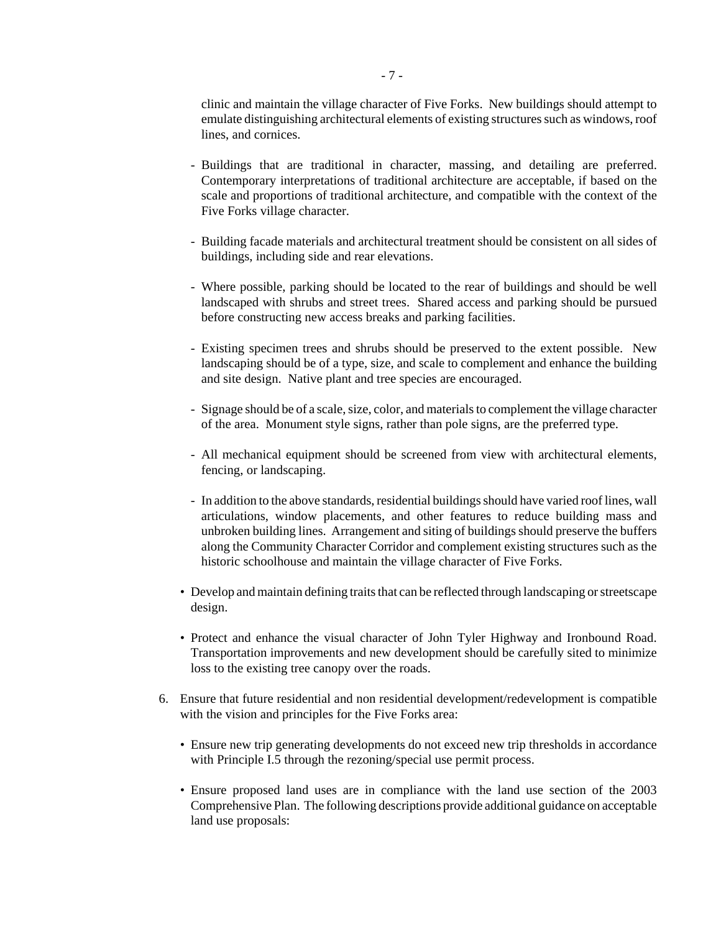clinic and maintain the village character of Five Forks. New buildings should attempt to emulate distinguishing architectural elements of existing structures such as windows, roof lines, and cornices.

- Buildings that are traditional in character, massing, and detailing are preferred. Contemporary interpretations of traditional architecture are acceptable, if based on the scale and proportions of traditional architecture, and compatible with the context of the Five Forks village character.
- Building facade materials and architectural treatment should be consistent on all sides of buildings, including side and rear elevations.
- Where possible, parking should be located to the rear of buildings and should be well landscaped with shrubs and street trees. Shared access and parking should be pursued before constructing new access breaks and parking facilities.
- Existing specimen trees and shrubs should be preserved to the extent possible. New landscaping should be of a type, size, and scale to complement and enhance the building and site design. Native plant and tree species are encouraged.
- Signage should be of a scale, size, color, and materials to complement the village character of the area. Monument style signs, rather than pole signs, are the preferred type.
- All mechanical equipment should be screened from view with architectural elements, fencing, or landscaping.
- In addition to the above standards, residential buildings should have varied roof lines, wall articulations, window placements, and other features to reduce building mass and unbroken building lines. Arrangement and siting of buildings should preserve the buffers along the Community Character Corridor and complement existing structures such as the historic schoolhouse and maintain the village character of Five Forks.
- Develop and maintain defining traits that can be reflected through landscaping or streetscape design.
- Protect and enhance the visual character of John Tyler Highway and Ironbound Road. Transportation improvements and new development should be carefully sited to minimize loss to the existing tree canopy over the roads.
- 6. Ensure that future residential and non residential development/redevelopment is compatible with the vision and principles for the Five Forks area:
	- Ensure new trip generating developments do not exceed new trip thresholds in accordance with Principle I.5 through the rezoning/special use permit process.
	- Ensure proposed land uses are in compliance with the land use section of the 2003 Comprehensive Plan. The following descriptions provide additional guidance on acceptable land use proposals: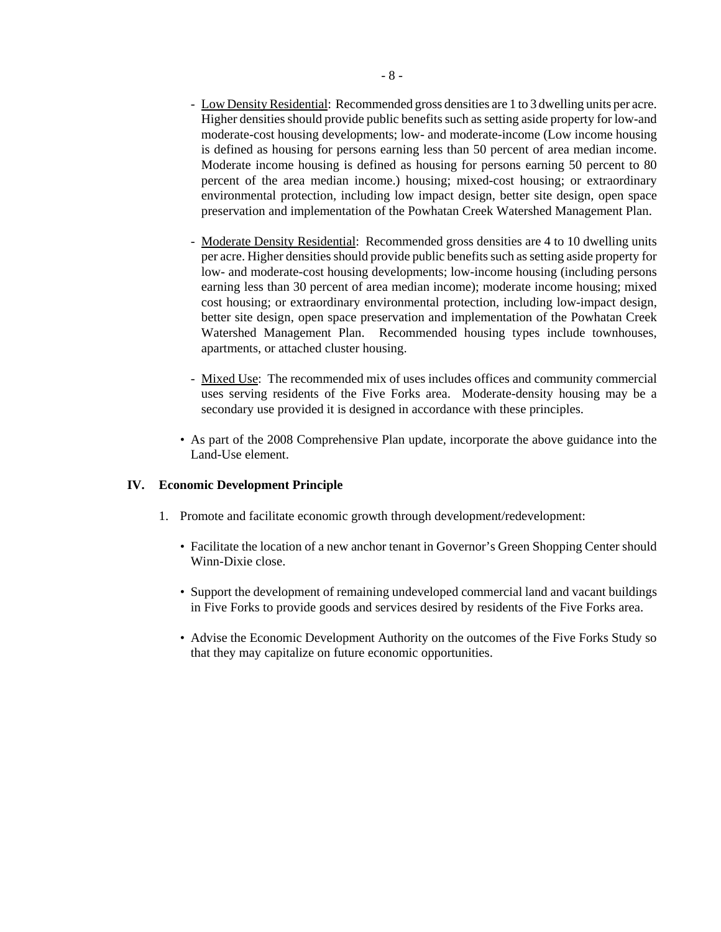- Low Density Residential: Recommended gross densities are 1 to 3 dwelling units per acre. Higher densities should provide public benefits such as setting aside property for low-and moderate-cost housing developments; low- and moderate-income (Low income housing is defined as housing for persons earning less than 50 percent of area median income. Moderate income housing is defined as housing for persons earning 50 percent to 80 percent of the area median income.) housing; mixed-cost housing; or extraordinary environmental protection, including low impact design, better site design, open space preservation and implementation of the Powhatan Creek Watershed Management Plan.
- Moderate Density Residential: Recommended gross densities are 4 to 10 dwelling units per acre. Higher densities should provide public benefits such as setting aside property for low- and moderate-cost housing developments; low-income housing (including persons earning less than 30 percent of area median income); moderate income housing; mixed cost housing; or extraordinary environmental protection, including low-impact design, better site design, open space preservation and implementation of the Powhatan Creek Watershed Management Plan. Recommended housing types include townhouses, apartments, or attached cluster housing.
- Mixed Use: The recommended mix of uses includes offices and community commercial uses serving residents of the Five Forks area. Moderate-density housing may be a secondary use provided it is designed in accordance with these principles.
- As part of the 2008 Comprehensive Plan update, incorporate the above guidance into the Land-Use element.

#### **IV. Economic Development Principle**

- 1. Promote and facilitate economic growth through development/redevelopment:
	- Facilitate the location of a new anchor tenant in Governor's Green Shopping Center should Winn-Dixie close.
	- Support the development of remaining undeveloped commercial land and vacant buildings in Five Forks to provide goods and services desired by residents of the Five Forks area.
	- Advise the Economic Development Authority on the outcomes of the Five Forks Study so that they may capitalize on future economic opportunities.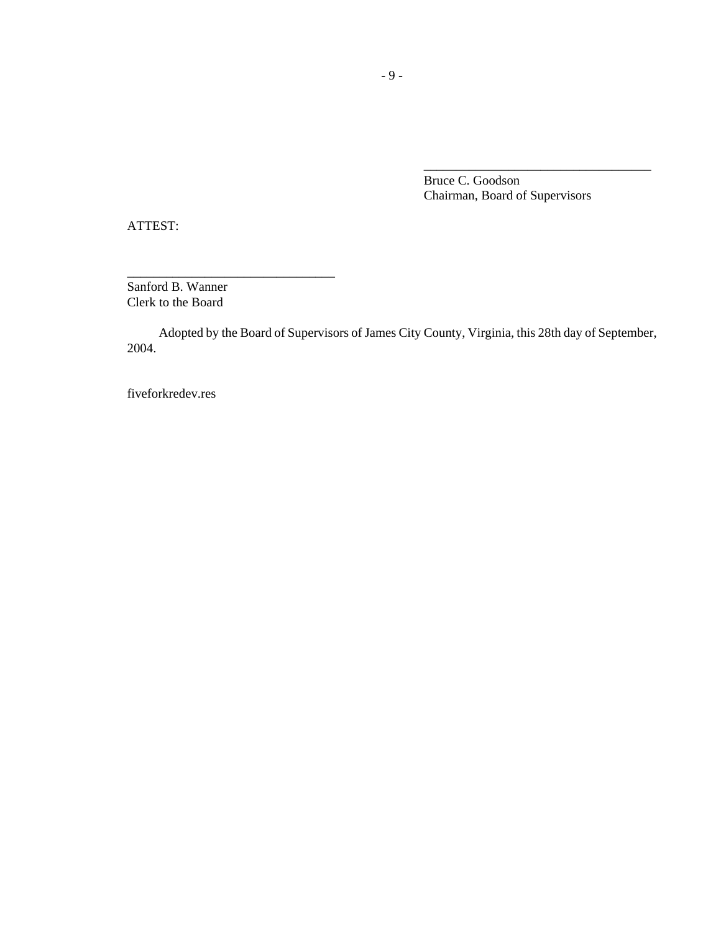Bruce C. Goodson Chairman, Board of Supervisors

\_\_\_\_\_\_\_\_\_\_\_\_\_\_\_\_\_\_\_\_\_\_\_\_\_\_\_\_\_\_\_\_\_\_\_

ATTEST:

Sanford B. Wanner Clerk to the Board

\_\_\_\_\_\_\_\_\_\_\_\_\_\_\_\_\_\_\_\_\_\_\_\_\_\_\_\_\_\_\_\_

Adopted by the Board of Supervisors of James City County, Virginia, this 28th day of September, 2004.

fiveforkredev.res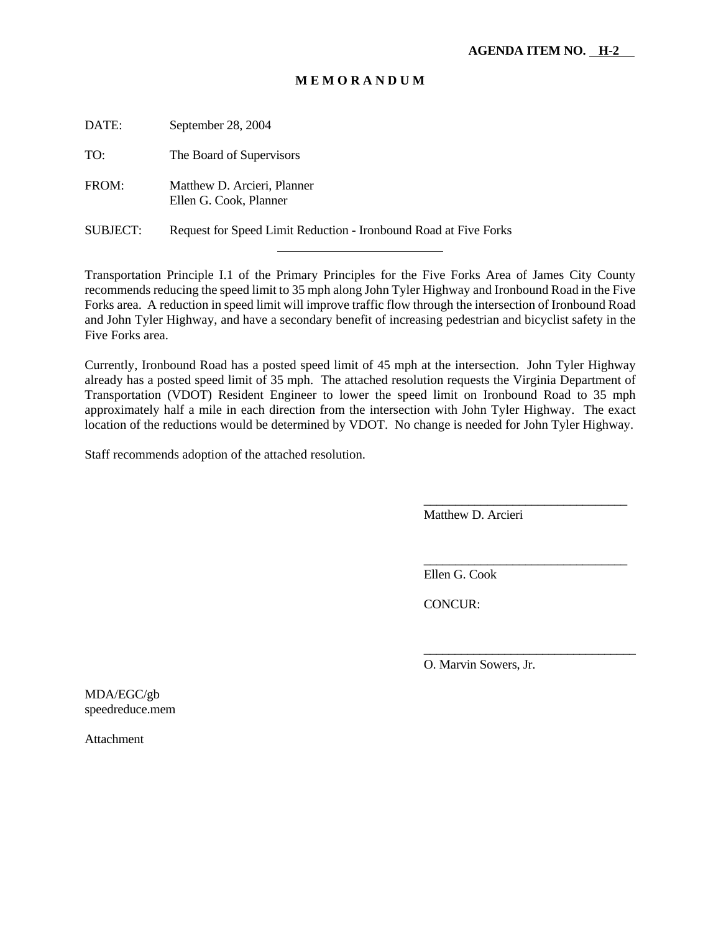| DATE:    | September 28, 2004                                               |
|----------|------------------------------------------------------------------|
| TO:      | The Board of Supervisors                                         |
| FROM:    | Matthew D. Arcieri, Planner<br>Ellen G. Cook, Planner            |
| SUBJECT: | Request for Speed Limit Reduction - Ironbound Road at Five Forks |

l

Transportation Principle I.1 of the Primary Principles for the Five Forks Area of James City County recommends reducing the speed limit to 35 mph along John Tyler Highway and Ironbound Road in the Five Forks area. A reduction in speed limit will improve traffic flow through the intersection of Ironbound Road and John Tyler Highway, and have a secondary benefit of increasing pedestrian and bicyclist safety in the Five Forks area.

Currently, Ironbound Road has a posted speed limit of 45 mph at the intersection. John Tyler Highway already has a posted speed limit of 35 mph. The attached resolution requests the Virginia Department of Transportation (VDOT) Resident Engineer to lower the speed limit on Ironbound Road to 35 mph approximately half a mile in each direction from the intersection with John Tyler Highway. The exact location of the reductions would be determined by VDOT. No change is needed for John Tyler Highway.

Staff recommends adoption of the attached resolution.

Matthew D. Arcieri

\_\_\_\_\_\_\_\_\_\_\_\_\_\_\_\_\_\_\_\_\_\_\_\_\_\_\_\_\_\_\_\_

\_\_\_\_\_\_\_\_\_\_\_\_\_\_\_\_\_\_\_\_\_\_\_\_\_\_\_\_\_\_\_\_

\_\_\_\_\_\_\_\_\_\_\_\_\_\_\_\_\_\_\_\_\_\_\_\_\_\_\_\_\_\_\_\_\_\_

Ellen G. Cook

CONCUR:

O. Marvin Sowers, Jr.

MDA/EGC/gb speedreduce.mem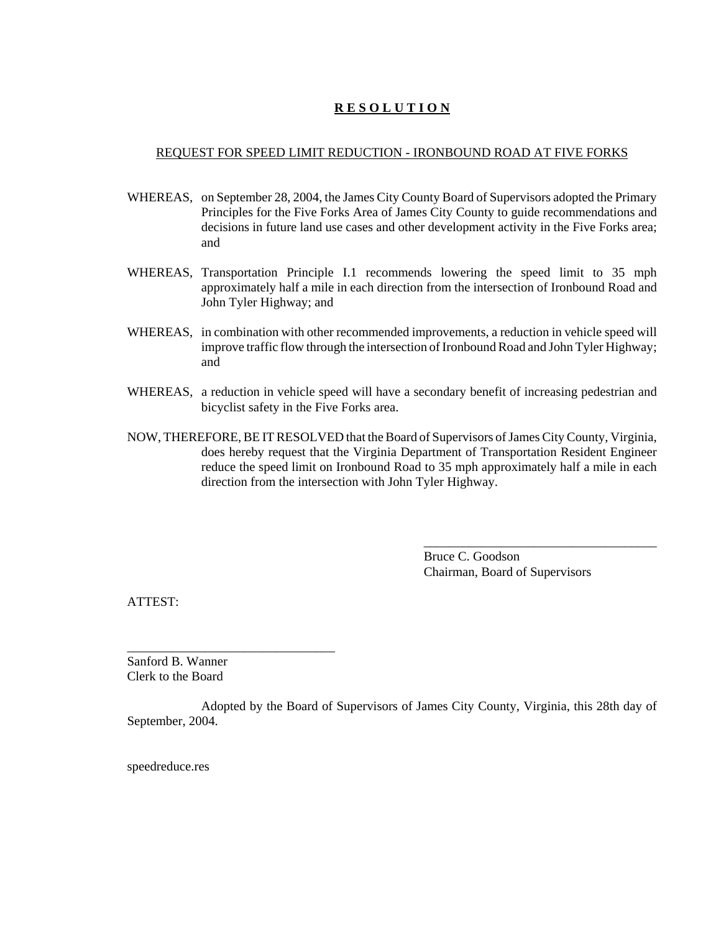#### REQUEST FOR SPEED LIMIT REDUCTION - IRONBOUND ROAD AT FIVE FORKS

- WHEREAS, on September 28, 2004, the James City County Board of Supervisors adopted the Primary Principles for the Five Forks Area of James City County to guide recommendations and decisions in future land use cases and other development activity in the Five Forks area; and
- WHEREAS, Transportation Principle I.1 recommends lowering the speed limit to 35 mph approximately half a mile in each direction from the intersection of Ironbound Road and John Tyler Highway; and
- WHEREAS, in combination with other recommended improvements, a reduction in vehicle speed will improve traffic flow through the intersection of Ironbound Road and John Tyler Highway; and
- WHEREAS, a reduction in vehicle speed will have a secondary benefit of increasing pedestrian and bicyclist safety in the Five Forks area.
- NOW, THEREFORE, BE IT RESOLVED that the Board of Supervisors of James City County, Virginia, does hereby request that the Virginia Department of Transportation Resident Engineer reduce the speed limit on Ironbound Road to 35 mph approximately half a mile in each direction from the intersection with John Tyler Highway.

Bruce C. Goodson Chairman, Board of Supervisors

\_\_\_\_\_\_\_\_\_\_\_\_\_\_\_\_\_\_\_\_\_\_\_\_\_\_\_\_\_\_\_\_\_\_\_\_

ATTEST:

Sanford B. Wanner Clerk to the Board

\_\_\_\_\_\_\_\_\_\_\_\_\_\_\_\_\_\_\_\_\_\_\_\_\_\_\_\_\_\_\_\_

Adopted by the Board of Supervisors of James City County, Virginia, this 28th day of September, 2004.

speedreduce.res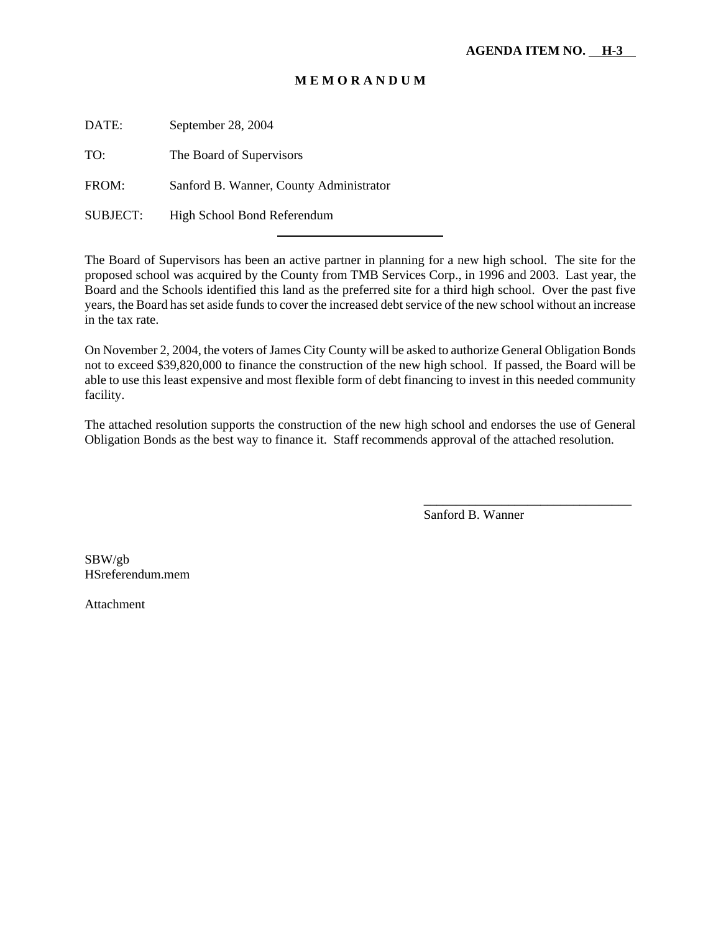DATE: September 28, 2004

TO: The Board of Supervisors

FROM: Sanford B. Wanner, County Administrator

l

SUBJECT: High School Bond Referendum

The Board of Supervisors has been an active partner in planning for a new high school. The site for the proposed school was acquired by the County from TMB Services Corp., in 1996 and 2003. Last year, the Board and the Schools identified this land as the preferred site for a third high school. Over the past five years, the Board has set aside funds to cover the increased debt service of the new school without an increase in the tax rate.

On November 2, 2004, the voters of James City County will be asked to authorize General Obligation Bonds not to exceed \$39,820,000 to finance the construction of the new high school. If passed, the Board will be able to use this least expensive and most flexible form of debt financing to invest in this needed community facility.

The attached resolution supports the construction of the new high school and endorses the use of General Obligation Bonds as the best way to finance it. Staff recommends approval of the attached resolution.

Sanford B. Wanner

\_\_\_\_\_\_\_\_\_\_\_\_\_\_\_\_\_\_\_\_\_\_\_\_\_\_\_\_\_\_\_\_

SBW/gb HSreferendum.mem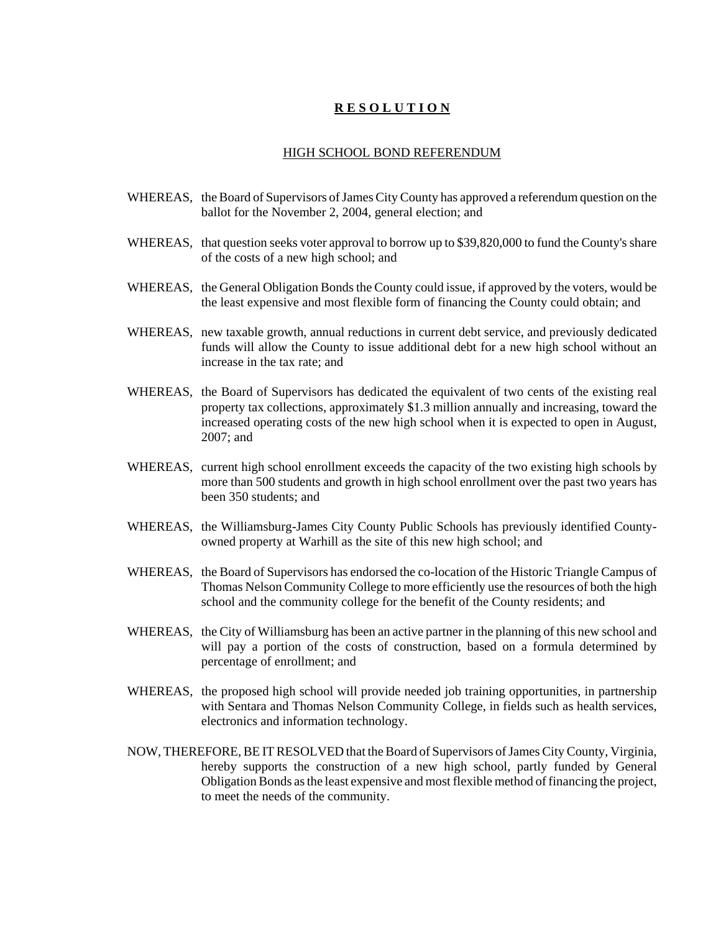#### HIGH SCHOOL BOND REFERENDUM

- WHEREAS, the Board of Supervisors of James City County has approved a referendum question on the ballot for the November 2, 2004, general election; and
- WHEREAS, that question seeks voter approval to borrow up to \$39,820,000 to fund the County's share of the costs of a new high school; and
- WHEREAS, the General Obligation Bonds the County could issue, if approved by the voters, would be the least expensive and most flexible form of financing the County could obtain; and
- WHEREAS, new taxable growth, annual reductions in current debt service, and previously dedicated funds will allow the County to issue additional debt for a new high school without an increase in the tax rate; and
- WHEREAS, the Board of Supervisors has dedicated the equivalent of two cents of the existing real property tax collections, approximately \$1.3 million annually and increasing, toward the increased operating costs of the new high school when it is expected to open in August, 2007; and
- WHEREAS, current high school enrollment exceeds the capacity of the two existing high schools by more than 500 students and growth in high school enrollment over the past two years has been 350 students; and
- WHEREAS, the Williamsburg-James City County Public Schools has previously identified Countyowned property at Warhill as the site of this new high school; and
- WHEREAS, the Board of Supervisors has endorsed the co-location of the Historic Triangle Campus of Thomas Nelson Community College to more efficiently use the resources of both the high school and the community college for the benefit of the County residents; and
- WHEREAS, the City of Williamsburg has been an active partner in the planning of this new school and will pay a portion of the costs of construction, based on a formula determined by percentage of enrollment; and
- WHEREAS, the proposed high school will provide needed job training opportunities, in partnership with Sentara and Thomas Nelson Community College, in fields such as health services, electronics and information technology.
- NOW, THEREFORE, BE IT RESOLVED that the Board of Supervisors of James City County, Virginia, hereby supports the construction of a new high school, partly funded by General Obligation Bonds as the least expensive and most flexible method of financing the project, to meet the needs of the community.